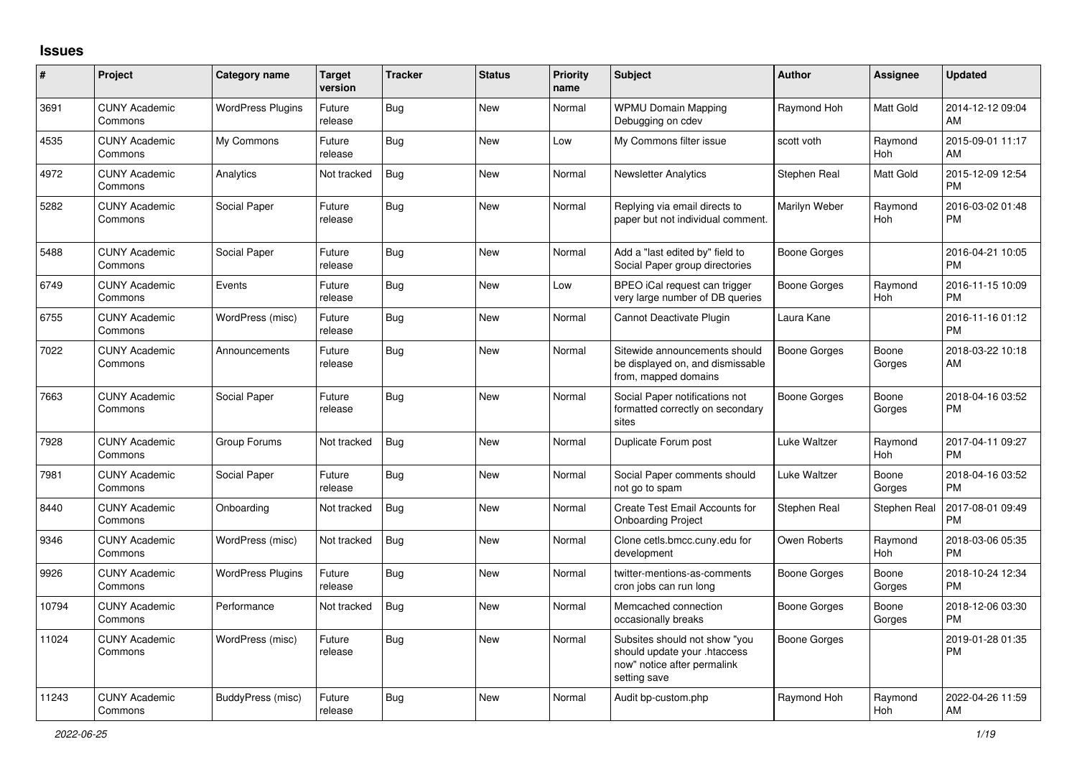## **Issues**

| #     | Project                         | <b>Category name</b>     | <b>Target</b><br>version | <b>Tracker</b> | <b>Status</b> | <b>Priority</b><br>name | <b>Subject</b>                                                                                               | <b>Author</b>       | <b>Assignee</b>       | <b>Updated</b>                |
|-------|---------------------------------|--------------------------|--------------------------|----------------|---------------|-------------------------|--------------------------------------------------------------------------------------------------------------|---------------------|-----------------------|-------------------------------|
| 3691  | <b>CUNY Academic</b><br>Commons | <b>WordPress Plugins</b> | Future<br>release        | Bug            | New           | Normal                  | <b>WPMU Domain Mapping</b><br>Debugging on cdev                                                              | Raymond Hoh         | <b>Matt Gold</b>      | 2014-12-12 09:04<br>AM        |
| 4535  | <b>CUNY Academic</b><br>Commons | My Commons               | Future<br>release        | Bug            | <b>New</b>    | Low                     | My Commons filter issue                                                                                      | scott voth          | Raymond<br><b>Hoh</b> | 2015-09-01 11:17<br>AM        |
| 4972  | <b>CUNY Academic</b><br>Commons | Analytics                | Not tracked              | <b>Bug</b>     | <b>New</b>    | Normal                  | <b>Newsletter Analytics</b>                                                                                  | Stephen Real        | Matt Gold             | 2015-12-09 12:54<br><b>PM</b> |
| 5282  | <b>CUNY Academic</b><br>Commons | Social Paper             | Future<br>release        | <b>Bug</b>     | <b>New</b>    | Normal                  | Replying via email directs to<br>paper but not individual comment.                                           | Marilyn Weber       | Raymond<br>Hoh        | 2016-03-02 01:48<br><b>PM</b> |
| 5488  | <b>CUNY Academic</b><br>Commons | Social Paper             | Future<br>release        | <b>Bug</b>     | <b>New</b>    | Normal                  | Add a "last edited by" field to<br>Social Paper group directories                                            | Boone Gorges        |                       | 2016-04-21 10:05<br><b>PM</b> |
| 6749  | <b>CUNY Academic</b><br>Commons | Events                   | Future<br>release        | Bug            | <b>New</b>    | Low                     | BPEO iCal request can trigger<br>very large number of DB queries                                             | Boone Gorges        | Raymond<br>Hoh        | 2016-11-15 10:09<br><b>PM</b> |
| 6755  | <b>CUNY Academic</b><br>Commons | WordPress (misc)         | Future<br>release        | Bug            | <b>New</b>    | Normal                  | Cannot Deactivate Plugin                                                                                     | Laura Kane          |                       | 2016-11-16 01:12<br><b>PM</b> |
| 7022  | <b>CUNY Academic</b><br>Commons | Announcements            | Future<br>release        | <b>Bug</b>     | <b>New</b>    | Normal                  | Sitewide announcements should<br>be displayed on, and dismissable<br>from, mapped domains                    | <b>Boone Gorges</b> | Boone<br>Gorges       | 2018-03-22 10:18<br>AM        |
| 7663  | <b>CUNY Academic</b><br>Commons | Social Paper             | Future<br>release        | Bug            | <b>New</b>    | Normal                  | Social Paper notifications not<br>formatted correctly on secondary<br>sites                                  | Boone Gorges        | Boone<br>Gorges       | 2018-04-16 03:52<br><b>PM</b> |
| 7928  | <b>CUNY Academic</b><br>Commons | Group Forums             | Not tracked              | Bug            | <b>New</b>    | Normal                  | Duplicate Forum post                                                                                         | Luke Waltzer        | Raymond<br>Hoh        | 2017-04-11 09:27<br><b>PM</b> |
| 7981  | <b>CUNY Academic</b><br>Commons | Social Paper             | Future<br>release        | Bug            | <b>New</b>    | Normal                  | Social Paper comments should<br>not go to spam                                                               | Luke Waltzer        | Boone<br>Gorges       | 2018-04-16 03:52<br><b>PM</b> |
| 8440  | <b>CUNY Academic</b><br>Commons | Onboarding               | Not tracked              | Bug            | <b>New</b>    | Normal                  | Create Test Email Accounts for<br><b>Onboarding Project</b>                                                  | Stephen Real        | Stephen Real          | 2017-08-01 09:49<br><b>PM</b> |
| 9346  | <b>CUNY Academic</b><br>Commons | WordPress (misc)         | Not tracked              | <b>Bug</b>     | <b>New</b>    | Normal                  | Clone cetls.bmcc.cuny.edu for<br>development                                                                 | Owen Roberts        | Raymond<br>Hoh        | 2018-03-06 05:35<br><b>PM</b> |
| 9926  | <b>CUNY Academic</b><br>Commons | <b>WordPress Plugins</b> | Future<br>release        | <b>Bug</b>     | <b>New</b>    | Normal                  | twitter-mentions-as-comments<br>cron jobs can run long                                                       | Boone Gorges        | Boone<br>Gorges       | 2018-10-24 12:34<br><b>PM</b> |
| 10794 | <b>CUNY Academic</b><br>Commons | Performance              | Not tracked              | Bug            | <b>New</b>    | Normal                  | Memcached connection<br>occasionally breaks                                                                  | Boone Gorges        | Boone<br>Gorges       | 2018-12-06 03:30<br><b>PM</b> |
| 11024 | <b>CUNY Academic</b><br>Commons | WordPress (misc)         | Future<br>release        | <b>Bug</b>     | <b>New</b>    | Normal                  | Subsites should not show "you<br>should update your .htaccess<br>now" notice after permalink<br>setting save | Boone Gorges        |                       | 2019-01-28 01:35<br><b>PM</b> |
| 11243 | <b>CUNY Academic</b><br>Commons | BuddyPress (misc)        | Future<br>release        | Bug            | <b>New</b>    | Normal                  | Audit bp-custom.php                                                                                          | Raymond Hoh         | Raymond<br>Hoh        | 2022-04-26 11:59<br>AM        |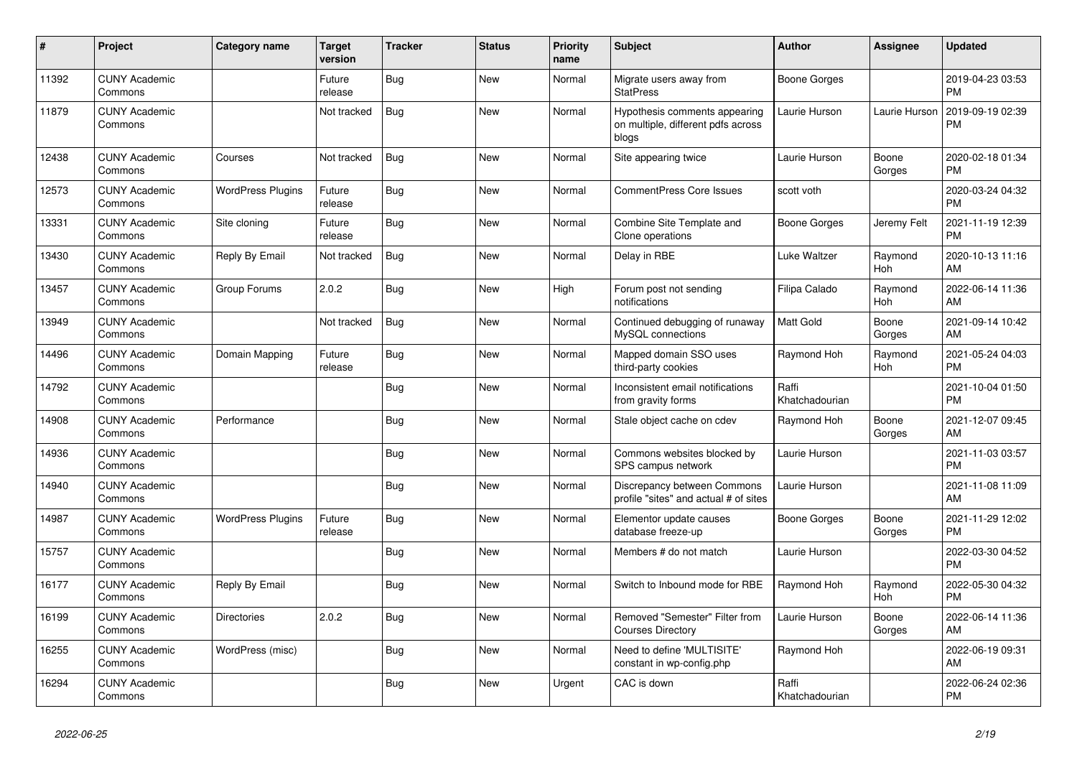| #     | Project                         | <b>Category name</b>     | <b>Target</b><br>version | <b>Tracker</b> | <b>Status</b> | <b>Priority</b><br>name | <b>Subject</b>                                                               | <b>Author</b>           | <b>Assignee</b>       | <b>Updated</b>                |
|-------|---------------------------------|--------------------------|--------------------------|----------------|---------------|-------------------------|------------------------------------------------------------------------------|-------------------------|-----------------------|-------------------------------|
| 11392 | <b>CUNY Academic</b><br>Commons |                          | Future<br>release        | <b>Bug</b>     | New           | Normal                  | Migrate users away from<br><b>StatPress</b>                                  | <b>Boone Gorges</b>     |                       | 2019-04-23 03:53<br><b>PM</b> |
| 11879 | <b>CUNY Academic</b><br>Commons |                          | Not tracked              | <b>Bug</b>     | <b>New</b>    | Normal                  | Hypothesis comments appearing<br>on multiple, different pdfs across<br>blogs | Laurie Hurson           | Laurie Hurson         | 2019-09-19 02:39<br>PM        |
| 12438 | <b>CUNY Academic</b><br>Commons | Courses                  | Not tracked              | Bug            | <b>New</b>    | Normal                  | Site appearing twice                                                         | Laurie Hurson           | Boone<br>Gorges       | 2020-02-18 01:34<br><b>PM</b> |
| 12573 | <b>CUNY Academic</b><br>Commons | <b>WordPress Plugins</b> | Future<br>release        | Bug            | New           | Normal                  | <b>CommentPress Core Issues</b>                                              | scott voth              |                       | 2020-03-24 04:32<br><b>PM</b> |
| 13331 | <b>CUNY Academic</b><br>Commons | Site cloning             | Future<br>release        | <b>Bug</b>     | <b>New</b>    | Normal                  | Combine Site Template and<br>Clone operations                                | <b>Boone Gorges</b>     | Jeremy Felt           | 2021-11-19 12:39<br><b>PM</b> |
| 13430 | <b>CUNY Academic</b><br>Commons | Reply By Email           | Not tracked              | <b>Bug</b>     | <b>New</b>    | Normal                  | Delay in RBE                                                                 | <b>Luke Waltzer</b>     | Raymond<br>Hoh        | 2020-10-13 11:16<br>AM        |
| 13457 | <b>CUNY Academic</b><br>Commons | Group Forums             | 2.0.2                    | <b>Bug</b>     | New           | High                    | Forum post not sending<br>notifications                                      | Filipa Calado           | Raymond<br>Hoh        | 2022-06-14 11:36<br>AM        |
| 13949 | <b>CUNY Academic</b><br>Commons |                          | Not tracked              | Bug            | <b>New</b>    | Normal                  | Continued debugging of runaway<br>MySQL connections                          | Matt Gold               | Boone<br>Gorges       | 2021-09-14 10:42<br>AM        |
| 14496 | <b>CUNY Academic</b><br>Commons | Domain Mapping           | Future<br>release        | Bug            | <b>New</b>    | Normal                  | Mapped domain SSO uses<br>third-party cookies                                | Raymond Hoh             | Raymond<br><b>Hoh</b> | 2021-05-24 04:03<br><b>PM</b> |
| 14792 | <b>CUNY Academic</b><br>Commons |                          |                          | <b>Bug</b>     | <b>New</b>    | Normal                  | Inconsistent email notifications<br>from gravity forms                       | Raffi<br>Khatchadourian |                       | 2021-10-04 01:50<br><b>PM</b> |
| 14908 | <b>CUNY Academic</b><br>Commons | Performance              |                          | <b>Bug</b>     | New           | Normal                  | Stale object cache on cdev                                                   | Raymond Hoh             | Boone<br>Gorges       | 2021-12-07 09:45<br>AM        |
| 14936 | <b>CUNY Academic</b><br>Commons |                          |                          | Bug            | New           | Normal                  | Commons websites blocked by<br>SPS campus network                            | Laurie Hurson           |                       | 2021-11-03 03:57<br><b>PM</b> |
| 14940 | <b>CUNY Academic</b><br>Commons |                          |                          | <b>Bug</b>     | <b>New</b>    | Normal                  | Discrepancy between Commons<br>profile "sites" and actual # of sites         | Laurie Hurson           |                       | 2021-11-08 11:09<br>AM        |
| 14987 | <b>CUNY Academic</b><br>Commons | <b>WordPress Plugins</b> | Future<br>release        | Bug            | <b>New</b>    | Normal                  | Elementor update causes<br>database freeze-up                                | <b>Boone Gorges</b>     | Boone<br>Gorges       | 2021-11-29 12:02<br><b>PM</b> |
| 15757 | <b>CUNY Academic</b><br>Commons |                          |                          | <b>Bug</b>     | <b>New</b>    | Normal                  | Members # do not match                                                       | Laurie Hurson           |                       | 2022-03-30 04:52<br><b>PM</b> |
| 16177 | <b>CUNY Academic</b><br>Commons | Reply By Email           |                          | <b>Bug</b>     | <b>New</b>    | Normal                  | Switch to Inbound mode for RBE                                               | Raymond Hoh             | Raymond<br><b>Hoh</b> | 2022-05-30 04:32<br><b>PM</b> |
| 16199 | <b>CUNY Academic</b><br>Commons | <b>Directories</b>       | 2.0.2                    | Bug            | <b>New</b>    | Normal                  | Removed "Semester" Filter from<br><b>Courses Directory</b>                   | Laurie Hurson           | Boone<br>Gorges       | 2022-06-14 11:36<br>AM        |
| 16255 | <b>CUNY Academic</b><br>Commons | WordPress (misc)         |                          | Bug            | <b>New</b>    | Normal                  | Need to define 'MULTISITE'<br>constant in wp-config.php                      | Raymond Hoh             |                       | 2022-06-19 09:31<br>AM        |
| 16294 | <b>CUNY Academic</b><br>Commons |                          |                          | <b>Bug</b>     | <b>New</b>    | Urgent                  | CAC is down                                                                  | Raffi<br>Khatchadourian |                       | 2022-06-24 02:36<br><b>PM</b> |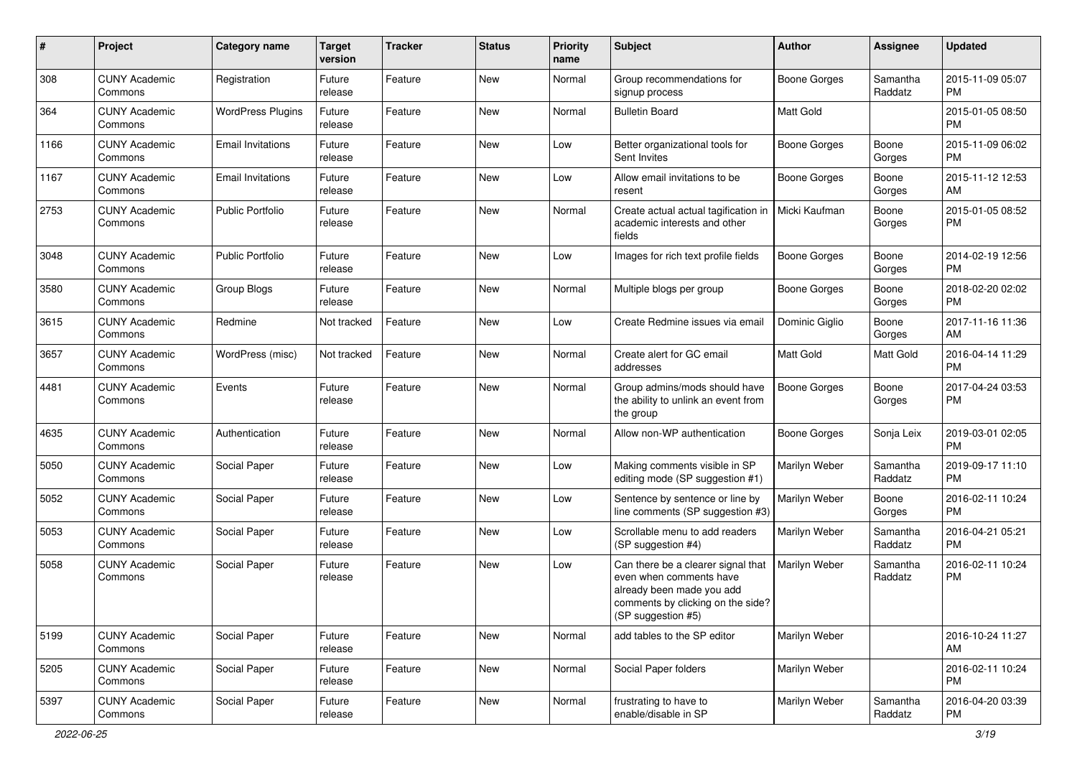| #    | Project                         | <b>Category name</b>     | <b>Target</b><br>version | <b>Tracker</b> | <b>Status</b> | <b>Priority</b><br>name | Subject                                                                                                                                               | Author              | <b>Assignee</b>     | <b>Updated</b>                |
|------|---------------------------------|--------------------------|--------------------------|----------------|---------------|-------------------------|-------------------------------------------------------------------------------------------------------------------------------------------------------|---------------------|---------------------|-------------------------------|
| 308  | <b>CUNY Academic</b><br>Commons | Registration             | Future<br>release        | Feature        | New           | Normal                  | Group recommendations for<br>signup process                                                                                                           | Boone Gorges        | Samantha<br>Raddatz | 2015-11-09 05:07<br>PM        |
| 364  | <b>CUNY Academic</b><br>Commons | <b>WordPress Plugins</b> | Future<br>release        | Feature        | New           | Normal                  | <b>Bulletin Board</b>                                                                                                                                 | Matt Gold           |                     | 2015-01-05 08:50<br>PM        |
| 1166 | <b>CUNY Academic</b><br>Commons | <b>Email Invitations</b> | Future<br>release        | Feature        | New           | Low                     | Better organizational tools for<br>Sent Invites                                                                                                       | <b>Boone Gorges</b> | Boone<br>Gorges     | 2015-11-09 06:02<br><b>PM</b> |
| 1167 | <b>CUNY Academic</b><br>Commons | <b>Email Invitations</b> | Future<br>release        | Feature        | New           | Low                     | Allow email invitations to be<br>resent                                                                                                               | <b>Boone Gorges</b> | Boone<br>Gorges     | 2015-11-12 12:53<br>AM        |
| 2753 | <b>CUNY Academic</b><br>Commons | <b>Public Portfolio</b>  | Future<br>release        | Feature        | New           | Normal                  | Create actual actual tagification in<br>academic interests and other<br>fields                                                                        | Micki Kaufman       | Boone<br>Gorges     | 2015-01-05 08:52<br><b>PM</b> |
| 3048 | <b>CUNY Academic</b><br>Commons | <b>Public Portfolio</b>  | Future<br>release        | Feature        | New           | Low                     | Images for rich text profile fields                                                                                                                   | <b>Boone Gorges</b> | Boone<br>Gorges     | 2014-02-19 12:56<br>PM        |
| 3580 | <b>CUNY Academic</b><br>Commons | Group Blogs              | Future<br>release        | Feature        | New           | Normal                  | Multiple blogs per group                                                                                                                              | Boone Gorges        | Boone<br>Gorges     | 2018-02-20 02:02<br><b>PM</b> |
| 3615 | <b>CUNY Academic</b><br>Commons | Redmine                  | Not tracked              | Feature        | New           | Low                     | Create Redmine issues via email                                                                                                                       | Dominic Giglio      | Boone<br>Gorges     | 2017-11-16 11:36<br>AM        |
| 3657 | <b>CUNY Academic</b><br>Commons | WordPress (misc)         | Not tracked              | Feature        | New           | Normal                  | Create alert for GC email<br>addresses                                                                                                                | <b>Matt Gold</b>    | Matt Gold           | 2016-04-14 11:29<br><b>PM</b> |
| 4481 | <b>CUNY Academic</b><br>Commons | Events                   | Future<br>release        | Feature        | New           | Normal                  | Group admins/mods should have<br>the ability to unlink an event from<br>the group                                                                     | <b>Boone Gorges</b> | Boone<br>Gorges     | 2017-04-24 03:53<br><b>PM</b> |
| 4635 | <b>CUNY Academic</b><br>Commons | Authentication           | Future<br>release        | Feature        | New           | Normal                  | Allow non-WP authentication                                                                                                                           | Boone Gorges        | Sonja Leix          | 2019-03-01 02:05<br><b>PM</b> |
| 5050 | <b>CUNY Academic</b><br>Commons | Social Paper             | Future<br>release        | Feature        | New           | Low                     | Making comments visible in SP<br>editing mode (SP suggestion #1)                                                                                      | Marilyn Weber       | Samantha<br>Raddatz | 2019-09-17 11:10<br><b>PM</b> |
| 5052 | <b>CUNY Academic</b><br>Commons | Social Paper             | Future<br>release        | Feature        | New           | Low                     | Sentence by sentence or line by<br>line comments (SP suggestion #3)                                                                                   | Marilyn Weber       | Boone<br>Gorges     | 2016-02-11 10:24<br><b>PM</b> |
| 5053 | <b>CUNY Academic</b><br>Commons | Social Paper             | Future<br>release        | Feature        | New           | Low                     | Scrollable menu to add readers<br>(SP suggestion #4)                                                                                                  | Marilyn Weber       | Samantha<br>Raddatz | 2016-04-21 05:21<br><b>PM</b> |
| 5058 | <b>CUNY Academic</b><br>Commons | Social Paper             | Future<br>release        | Feature        | New           | Low                     | Can there be a clearer signal that<br>even when comments have<br>already been made you add<br>comments by clicking on the side?<br>(SP suggestion #5) | Marilyn Weber       | Samantha<br>Raddatz | 2016-02-11 10:24<br><b>PM</b> |
| 5199 | <b>CUNY Academic</b><br>Commons | Social Paper             | Future<br>release        | Feature        | New           | Normal                  | add tables to the SP editor                                                                                                                           | Marilyn Weber       |                     | 2016-10-24 11:27<br>AM        |
| 5205 | <b>CUNY Academic</b><br>Commons | Social Paper             | Future<br>release        | Feature        | New           | Normal                  | Social Paper folders                                                                                                                                  | Marilyn Weber       |                     | 2016-02-11 10:24<br><b>PM</b> |
| 5397 | <b>CUNY Academic</b><br>Commons | Social Paper             | Future<br>release        | Feature        | New           | Normal                  | frustrating to have to<br>enable/disable in SP                                                                                                        | Marilyn Weber       | Samantha<br>Raddatz | 2016-04-20 03:39<br>PM        |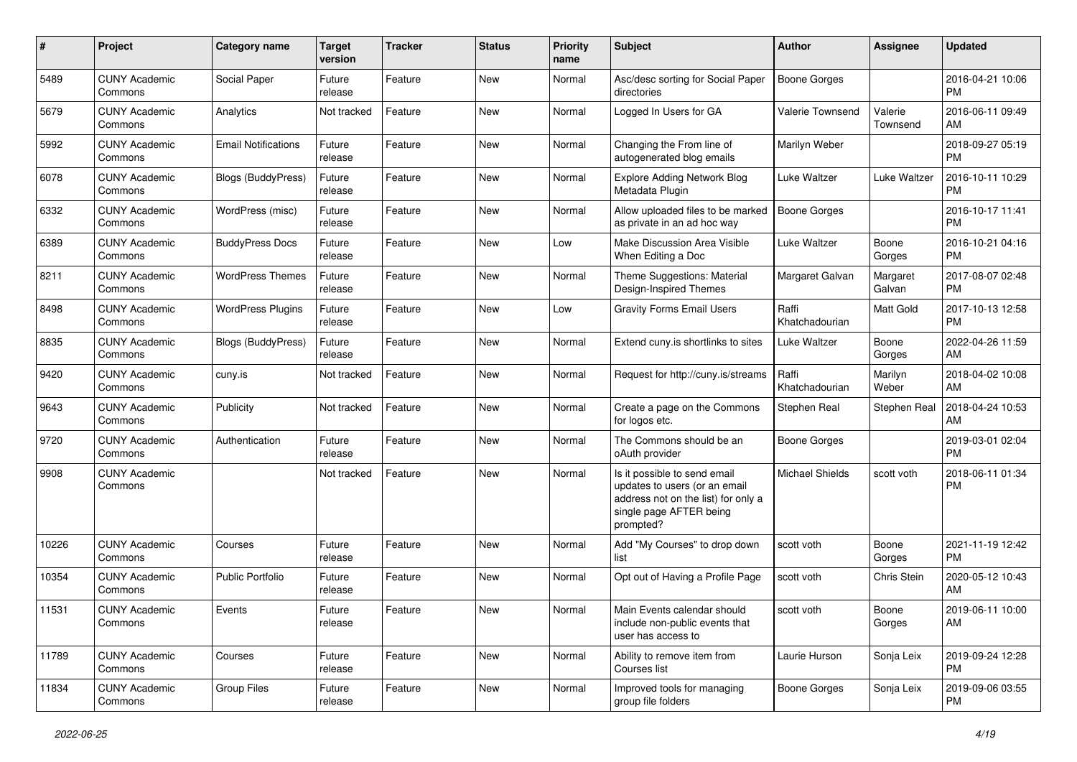| #     | Project                         | <b>Category name</b>       | <b>Target</b><br>version | <b>Tracker</b> | <b>Status</b> | <b>Priority</b><br>name | <b>Subject</b>                                                                                                                               | <b>Author</b>           | <b>Assignee</b>     | <b>Updated</b>                |
|-------|---------------------------------|----------------------------|--------------------------|----------------|---------------|-------------------------|----------------------------------------------------------------------------------------------------------------------------------------------|-------------------------|---------------------|-------------------------------|
| 5489  | <b>CUNY Academic</b><br>Commons | Social Paper               | Future<br>release        | Feature        | New           | Normal                  | Asc/desc sorting for Social Paper<br>directories                                                                                             | <b>Boone Gorges</b>     |                     | 2016-04-21 10:06<br><b>PM</b> |
| 5679  | <b>CUNY Academic</b><br>Commons | Analytics                  | Not tracked              | Feature        | <b>New</b>    | Normal                  | Logged In Users for GA                                                                                                                       | Valerie Townsend        | Valerie<br>Townsend | 2016-06-11 09:49<br>AM        |
| 5992  | <b>CUNY Academic</b><br>Commons | <b>Email Notifications</b> | Future<br>release        | Feature        | New           | Normal                  | Changing the From line of<br>autogenerated blog emails                                                                                       | Marilyn Weber           |                     | 2018-09-27 05:19<br><b>PM</b> |
| 6078  | <b>CUNY Academic</b><br>Commons | <b>Blogs (BuddyPress)</b>  | Future<br>release        | Feature        | New           | Normal                  | <b>Explore Adding Network Blog</b><br>Metadata Plugin                                                                                        | Luke Waltzer            | Luke Waltzer        | 2016-10-11 10:29<br><b>PM</b> |
| 6332  | <b>CUNY Academic</b><br>Commons | WordPress (misc)           | Future<br>release        | Feature        | <b>New</b>    | Normal                  | Allow uploaded files to be marked<br>as private in an ad hoc way                                                                             | <b>Boone Gorges</b>     |                     | 2016-10-17 11:41<br><b>PM</b> |
| 6389  | <b>CUNY Academic</b><br>Commons | <b>BuddyPress Docs</b>     | Future<br>release        | Feature        | <b>New</b>    | Low                     | Make Discussion Area Visible<br>When Editing a Doc                                                                                           | Luke Waltzer            | Boone<br>Gorges     | 2016-10-21 04:16<br><b>PM</b> |
| 8211  | <b>CUNY Academic</b><br>Commons | <b>WordPress Themes</b>    | Future<br>release        | Feature        | New           | Normal                  | Theme Suggestions: Material<br>Design-Inspired Themes                                                                                        | Margaret Galvan         | Margaret<br>Galvan  | 2017-08-07 02:48<br><b>PM</b> |
| 8498  | <b>CUNY Academic</b><br>Commons | <b>WordPress Plugins</b>   | Future<br>release        | Feature        | <b>New</b>    | Low                     | <b>Gravity Forms Email Users</b>                                                                                                             | Raffi<br>Khatchadourian | Matt Gold           | 2017-10-13 12:58<br><b>PM</b> |
| 8835  | <b>CUNY Academic</b><br>Commons | <b>Blogs (BuddyPress)</b>  | Future<br>release        | Feature        | <b>New</b>    | Normal                  | Extend cuny.is shortlinks to sites                                                                                                           | Luke Waltzer            | Boone<br>Gorges     | 2022-04-26 11:59<br>AM        |
| 9420  | <b>CUNY Academic</b><br>Commons | cuny.is                    | Not tracked              | Feature        | <b>New</b>    | Normal                  | Request for http://cuny.is/streams                                                                                                           | Raffi<br>Khatchadourian | Marilyn<br>Weber    | 2018-04-02 10:08<br>AM        |
| 9643  | <b>CUNY Academic</b><br>Commons | Publicity                  | Not tracked              | Feature        | New           | Normal                  | Create a page on the Commons<br>for logos etc.                                                                                               | Stephen Real            | Stephen Real        | 2018-04-24 10:53<br>AM        |
| 9720  | <b>CUNY Academic</b><br>Commons | Authentication             | Future<br>release        | Feature        | <b>New</b>    | Normal                  | The Commons should be an<br>oAuth provider                                                                                                   | <b>Boone Gorges</b>     |                     | 2019-03-01 02:04<br><b>PM</b> |
| 9908  | <b>CUNY Academic</b><br>Commons |                            | Not tracked              | Feature        | <b>New</b>    | Normal                  | Is it possible to send email<br>updates to users (or an email<br>address not on the list) for only a<br>single page AFTER being<br>prompted? | <b>Michael Shields</b>  | scott voth          | 2018-06-11 01:34<br><b>PM</b> |
| 10226 | <b>CUNY Academic</b><br>Commons | Courses                    | Future<br>release        | Feature        | <b>New</b>    | Normal                  | Add "My Courses" to drop down<br>list                                                                                                        | scott voth              | Boone<br>Gorges     | 2021-11-19 12:42<br><b>PM</b> |
| 10354 | <b>CUNY Academic</b><br>Commons | <b>Public Portfolio</b>    | Future<br>release        | Feature        | <b>New</b>    | Normal                  | Opt out of Having a Profile Page                                                                                                             | scott voth              | Chris Stein         | 2020-05-12 10:43<br>AM        |
| 11531 | <b>CUNY Academic</b><br>Commons | Events                     | Future<br>release        | Feature        | New           | Normal                  | Main Events calendar should<br>include non-public events that<br>user has access to                                                          | scott voth              | Boone<br>Gorges     | 2019-06-11 10:00<br>AM        |
| 11789 | <b>CUNY Academic</b><br>Commons | Courses                    | Future<br>release        | Feature        | New           | Normal                  | Ability to remove item from<br>Courses list                                                                                                  | Laurie Hurson           | Sonja Leix          | 2019-09-24 12:28<br><b>PM</b> |
| 11834 | <b>CUNY Academic</b><br>Commons | Group Files                | Future<br>release        | Feature        | New           | Normal                  | Improved tools for managing<br>group file folders                                                                                            | <b>Boone Gorges</b>     | Sonja Leix          | 2019-09-06 03:55<br>PM        |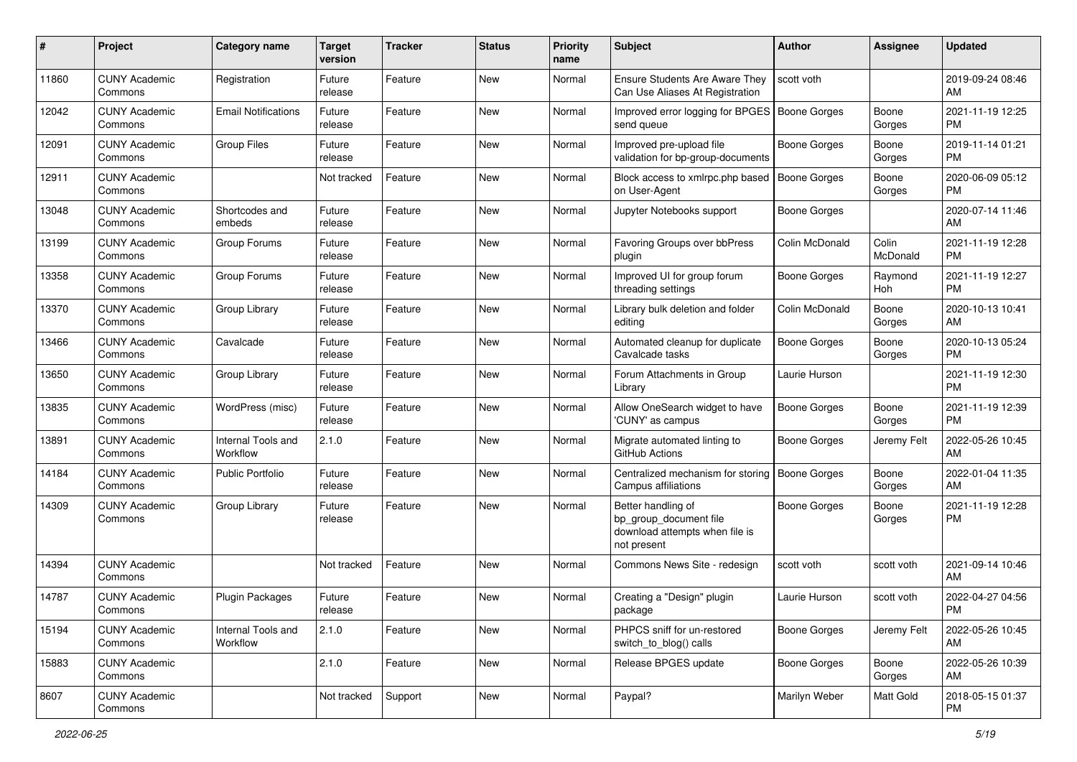| #     | Project                         | <b>Category name</b>           | <b>Target</b><br>version | <b>Tracker</b> | <b>Status</b> | <b>Priority</b><br>name | Subject                                                                                       | Author              | <b>Assignee</b>   | <b>Updated</b>                |
|-------|---------------------------------|--------------------------------|--------------------------|----------------|---------------|-------------------------|-----------------------------------------------------------------------------------------------|---------------------|-------------------|-------------------------------|
| 11860 | <b>CUNY Academic</b><br>Commons | Registration                   | Future<br>release        | Feature        | New           | Normal                  | Ensure Students Are Aware They<br>Can Use Aliases At Registration                             | scott voth          |                   | 2019-09-24 08:46<br>AM        |
| 12042 | <b>CUNY Academic</b><br>Commons | <b>Email Notifications</b>     | Future<br>release        | Feature        | New           | Normal                  | Improved error logging for BPGES   Boone Gorges<br>send queue                                 |                     | Boone<br>Gorges   | 2021-11-19 12:25<br><b>PM</b> |
| 12091 | <b>CUNY Academic</b><br>Commons | <b>Group Files</b>             | Future<br>release        | Feature        | New           | Normal                  | Improved pre-upload file<br>validation for bp-group-documents                                 | Boone Gorges        | Boone<br>Gorges   | 2019-11-14 01:21<br><b>PM</b> |
| 12911 | <b>CUNY Academic</b><br>Commons |                                | Not tracked              | Feature        | <b>New</b>    | Normal                  | Block access to xmlrpc.php based<br>on User-Agent                                             | <b>Boone Gorges</b> | Boone<br>Gorges   | 2020-06-09 05:12<br><b>PM</b> |
| 13048 | <b>CUNY Academic</b><br>Commons | Shortcodes and<br>embeds       | Future<br>release        | Feature        | New           | Normal                  | Jupyter Notebooks support                                                                     | Boone Gorges        |                   | 2020-07-14 11:46<br>AM        |
| 13199 | <b>CUNY Academic</b><br>Commons | Group Forums                   | Future<br>release        | Feature        | New           | Normal                  | Favoring Groups over bbPress<br>plugin                                                        | Colin McDonald      | Colin<br>McDonald | 2021-11-19 12:28<br><b>PM</b> |
| 13358 | <b>CUNY Academic</b><br>Commons | Group Forums                   | Future<br>release        | Feature        | New           | Normal                  | Improved UI for group forum<br>threading settings                                             | Boone Gorges        | Raymond<br>Hoh    | 2021-11-19 12:27<br><b>PM</b> |
| 13370 | <b>CUNY Academic</b><br>Commons | Group Library                  | Future<br>release        | Feature        | New           | Normal                  | Library bulk deletion and folder<br>editing                                                   | Colin McDonald      | Boone<br>Gorges   | 2020-10-13 10:41<br>AM        |
| 13466 | <b>CUNY Academic</b><br>Commons | Cavalcade                      | Future<br>release        | Feature        | New           | Normal                  | Automated cleanup for duplicate<br>Cavalcade tasks                                            | Boone Gorges        | Boone<br>Gorges   | 2020-10-13 05:24<br><b>PM</b> |
| 13650 | <b>CUNY Academic</b><br>Commons | Group Library                  | Future<br>release        | Feature        | New           | Normal                  | Forum Attachments in Group<br>Library                                                         | Laurie Hurson       |                   | 2021-11-19 12:30<br><b>PM</b> |
| 13835 | <b>CUNY Academic</b><br>Commons | WordPress (misc)               | Future<br>release        | Feature        | <b>New</b>    | Normal                  | Allow OneSearch widget to have<br>'CUNY' as campus                                            | Boone Gorges        | Boone<br>Gorges   | 2021-11-19 12:39<br><b>PM</b> |
| 13891 | <b>CUNY Academic</b><br>Commons | Internal Tools and<br>Workflow | 2.1.0                    | Feature        | <b>New</b>    | Normal                  | Migrate automated linting to<br>GitHub Actions                                                | Boone Gorges        | Jeremy Felt       | 2022-05-26 10:45<br>AM        |
| 14184 | <b>CUNY Academic</b><br>Commons | <b>Public Portfolio</b>        | Future<br>release        | Feature        | New           | Normal                  | Centralized mechanism for storing<br>Campus affiliations                                      | <b>Boone Gorges</b> | Boone<br>Gorges   | 2022-01-04 11:35<br>AM        |
| 14309 | <b>CUNY Academic</b><br>Commons | Group Library                  | Future<br>release        | Feature        | New           | Normal                  | Better handling of<br>bp_group_document file<br>download attempts when file is<br>not present | Boone Gorges        | Boone<br>Gorges   | 2021-11-19 12:28<br><b>PM</b> |
| 14394 | <b>CUNY Academic</b><br>Commons |                                | Not tracked              | Feature        | New           | Normal                  | Commons News Site - redesign                                                                  | scott voth          | scott voth        | 2021-09-14 10:46<br>AM        |
| 14787 | <b>CUNY Academic</b><br>Commons | <b>Plugin Packages</b>         | Future<br>release        | Feature        | New           | Normal                  | Creating a "Design" plugin<br>package                                                         | Laurie Hurson       | scott voth        | 2022-04-27 04:56<br><b>PM</b> |
| 15194 | <b>CUNY Academic</b><br>Commons | Internal Tools and<br>Workflow | 2.1.0                    | Feature        | New           | Normal                  | PHPCS sniff for un-restored<br>switch_to_blog() calls                                         | <b>Boone Gorges</b> | Jeremy Felt       | 2022-05-26 10:45<br>AM        |
| 15883 | <b>CUNY Academic</b><br>Commons |                                | 2.1.0                    | Feature        | New           | Normal                  | Release BPGES update                                                                          | Boone Gorges        | Boone<br>Gorges   | 2022-05-26 10:39<br>AM        |
| 8607  | <b>CUNY Academic</b><br>Commons |                                | Not tracked              | Support        | New           | Normal                  | Paypal?                                                                                       | Marilyn Weber       | Matt Gold         | 2018-05-15 01:37<br><b>PM</b> |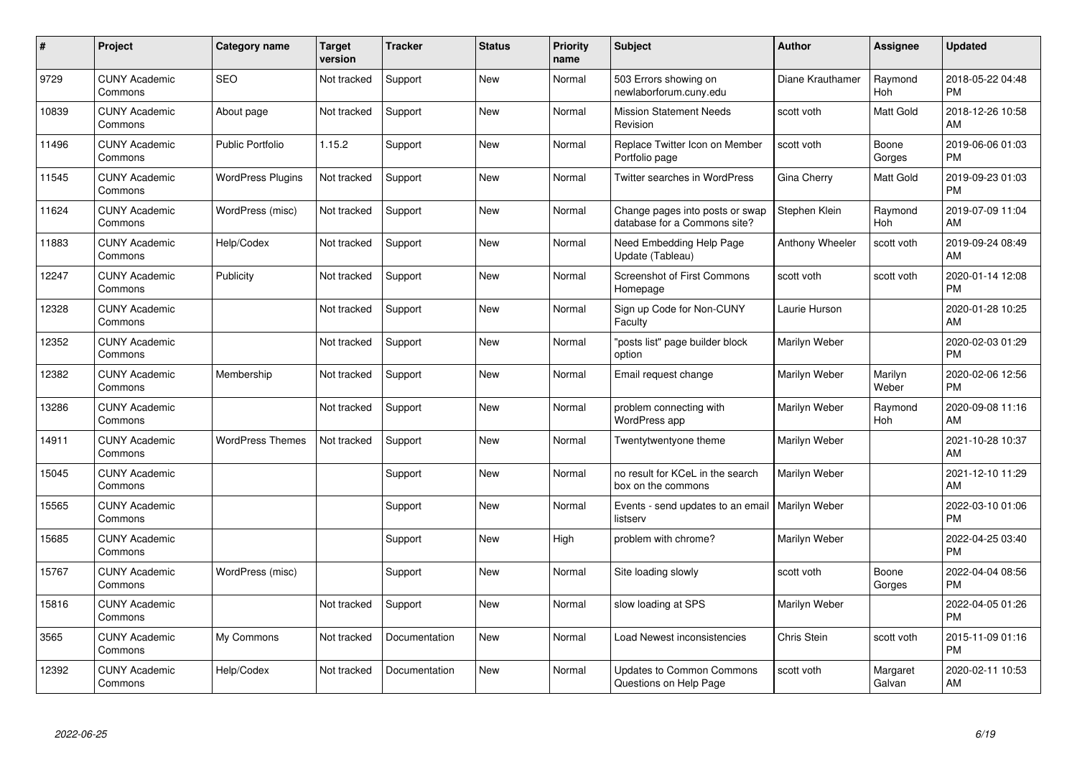| $\pmb{\sharp}$ | Project                         | <b>Category name</b>     | Target<br>version | <b>Tracker</b> | <b>Status</b> | <b>Priority</b><br>name | <b>Subject</b>                                                  | <b>Author</b>      | <b>Assignee</b>       | <b>Updated</b>                |
|----------------|---------------------------------|--------------------------|-------------------|----------------|---------------|-------------------------|-----------------------------------------------------------------|--------------------|-----------------------|-------------------------------|
| 9729           | <b>CUNY Academic</b><br>Commons | <b>SEO</b>               | Not tracked       | Support        | <b>New</b>    | Normal                  | 503 Errors showing on<br>newlaborforum.cuny.edu                 | Diane Krauthamer   | Raymond<br>Hoh        | 2018-05-22 04:48<br><b>PM</b> |
| 10839          | <b>CUNY Academic</b><br>Commons | About page               | Not tracked       | Support        | <b>New</b>    | Normal                  | <b>Mission Statement Needs</b><br>Revision                      | scott voth         | Matt Gold             | 2018-12-26 10:58<br>AM        |
| 11496          | <b>CUNY Academic</b><br>Commons | <b>Public Portfolio</b>  | 1.15.2            | Support        | New           | Normal                  | Replace Twitter Icon on Member<br>Portfolio page                | scott voth         | Boone<br>Gorges       | 2019-06-06 01:03<br><b>PM</b> |
| 11545          | <b>CUNY Academic</b><br>Commons | <b>WordPress Plugins</b> | Not tracked       | Support        | <b>New</b>    | Normal                  | Twitter searches in WordPress                                   | Gina Cherry        | Matt Gold             | 2019-09-23 01:03<br><b>PM</b> |
| 11624          | <b>CUNY Academic</b><br>Commons | WordPress (misc)         | Not tracked       | Support        | <b>New</b>    | Normal                  | Change pages into posts or swap<br>database for a Commons site? | Stephen Klein      | Raymond<br><b>Hoh</b> | 2019-07-09 11:04<br>AM        |
| 11883          | <b>CUNY Academic</b><br>Commons | Help/Codex               | Not tracked       | Support        | New           | Normal                  | Need Embedding Help Page<br>Update (Tableau)                    | Anthony Wheeler    | scott voth            | 2019-09-24 08:49<br>AM        |
| 12247          | <b>CUNY Academic</b><br>Commons | Publicity                | Not tracked       | Support        | New           | Normal                  | <b>Screenshot of First Commons</b><br>Homepage                  | scott voth         | scott voth            | 2020-01-14 12:08<br><b>PM</b> |
| 12328          | <b>CUNY Academic</b><br>Commons |                          | Not tracked       | Support        | <b>New</b>    | Normal                  | Sign up Code for Non-CUNY<br>Faculty                            | Laurie Hurson      |                       | 2020-01-28 10:25<br>AM        |
| 12352          | <b>CUNY Academic</b><br>Commons |                          | Not tracked       | Support        | <b>New</b>    | Normal                  | "posts list" page builder block<br>option                       | Marilyn Weber      |                       | 2020-02-03 01:29<br><b>PM</b> |
| 12382          | <b>CUNY Academic</b><br>Commons | Membership               | Not tracked       | Support        | <b>New</b>    | Normal                  | Email request change                                            | Marilyn Weber      | Marilyn<br>Weber      | 2020-02-06 12:56<br><b>PM</b> |
| 13286          | <b>CUNY Academic</b><br>Commons |                          | Not tracked       | Support        | <b>New</b>    | Normal                  | problem connecting with<br>WordPress app                        | Marilyn Weber      | Raymond<br>Hoh        | 2020-09-08 11:16<br>AM        |
| 14911          | <b>CUNY Academic</b><br>Commons | <b>WordPress Themes</b>  | Not tracked       | Support        | <b>New</b>    | Normal                  | Twentytwentyone theme                                           | Marilyn Weber      |                       | 2021-10-28 10:37<br>AM        |
| 15045          | <b>CUNY Academic</b><br>Commons |                          |                   | Support        | <b>New</b>    | Normal                  | no result for KCeL in the search<br>box on the commons          | Marilyn Weber      |                       | 2021-12-10 11:29<br>AM        |
| 15565          | <b>CUNY Academic</b><br>Commons |                          |                   | Support        | <b>New</b>    | Normal                  | Events - send updates to an email   Marilyn Weber<br>listserv   |                    |                       | 2022-03-10 01:06<br><b>PM</b> |
| 15685          | <b>CUNY Academic</b><br>Commons |                          |                   | Support        | <b>New</b>    | High                    | problem with chrome?                                            | Marilyn Weber      |                       | 2022-04-25 03:40<br><b>PM</b> |
| 15767          | <b>CUNY Academic</b><br>Commons | WordPress (misc)         |                   | Support        | <b>New</b>    | Normal                  | Site loading slowly                                             | scott voth         | Boone<br>Gorges       | 2022-04-04 08:56<br><b>PM</b> |
| 15816          | <b>CUNY Academic</b><br>Commons |                          | Not tracked       | Support        | <b>New</b>    | Normal                  | slow loading at SPS                                             | Marilyn Weber      |                       | 2022-04-05 01:26<br><b>PM</b> |
| 3565           | <b>CUNY Academic</b><br>Commons | My Commons               | Not tracked       | Documentation  | <b>New</b>    | Normal                  | Load Newest inconsistencies                                     | <b>Chris Stein</b> | scott voth            | 2015-11-09 01:16<br><b>PM</b> |
| 12392          | <b>CUNY Academic</b><br>Commons | Help/Codex               | Not tracked       | Documentation  | <b>New</b>    | Normal                  | <b>Updates to Common Commons</b><br>Questions on Help Page      | scott voth         | Margaret<br>Galvan    | 2020-02-11 10:53<br>AM        |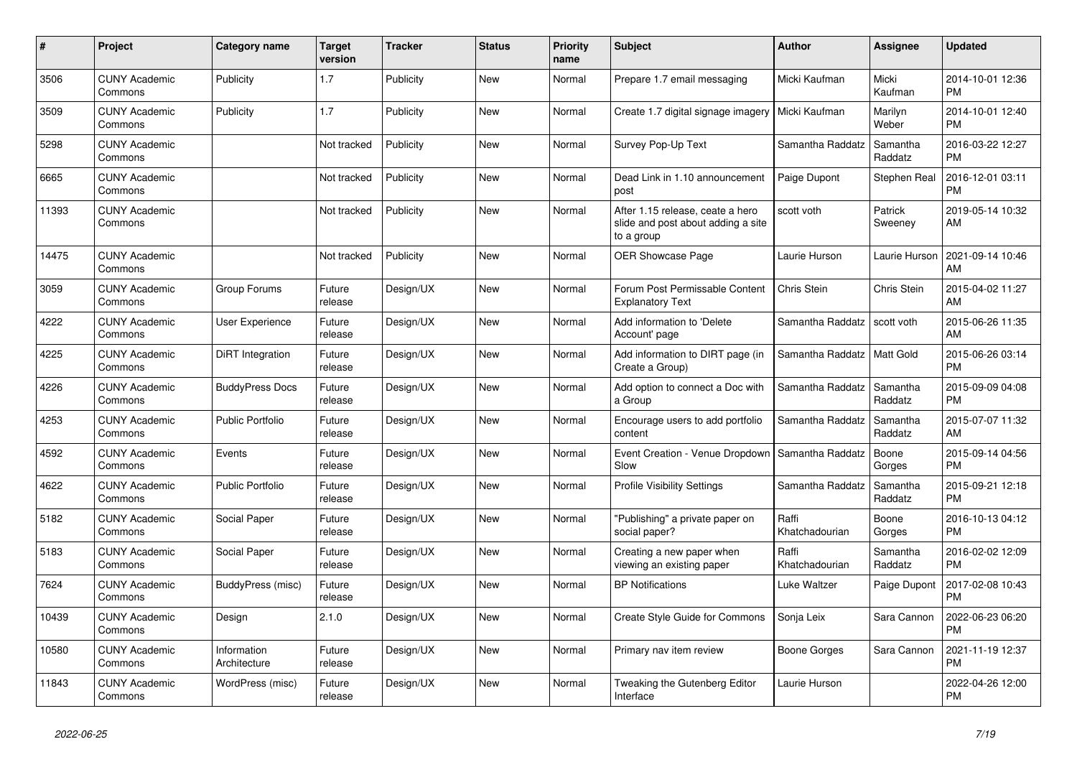| #     | <b>Project</b>                  | Category name               | <b>Target</b><br>version | Tracker   | <b>Status</b> | <b>Priority</b><br>name | <b>Subject</b>                                                                       | <b>Author</b>           | Assignee            | <b>Updated</b>                |
|-------|---------------------------------|-----------------------------|--------------------------|-----------|---------------|-------------------------|--------------------------------------------------------------------------------------|-------------------------|---------------------|-------------------------------|
| 3506  | <b>CUNY Academic</b><br>Commons | Publicity                   | 1.7                      | Publicity | <b>New</b>    | Normal                  | Prepare 1.7 email messaging                                                          | Micki Kaufman           | Micki<br>Kaufman    | 2014-10-01 12:36<br><b>PM</b> |
| 3509  | <b>CUNY Academic</b><br>Commons | Publicity                   | 1.7                      | Publicity | <b>New</b>    | Normal                  | Create 1.7 digital signage imagery                                                   | Micki Kaufman           | Marilyn<br>Weber    | 2014-10-01 12:40<br><b>PM</b> |
| 5298  | <b>CUNY Academic</b><br>Commons |                             | Not tracked              | Publicity | New           | Normal                  | Survey Pop-Up Text                                                                   | Samantha Raddatz        | Samantha<br>Raddatz | 2016-03-22 12:27<br><b>PM</b> |
| 6665  | <b>CUNY Academic</b><br>Commons |                             | Not tracked              | Publicity | <b>New</b>    | Normal                  | Dead Link in 1.10 announcement<br>post                                               | Paige Dupont            | <b>Stephen Real</b> | 2016-12-01 03:11<br><b>PM</b> |
| 11393 | <b>CUNY Academic</b><br>Commons |                             | Not tracked              | Publicity | New           | Normal                  | After 1.15 release, ceate a hero<br>slide and post about adding a site<br>to a group | scott voth              | Patrick<br>Sweeney  | 2019-05-14 10:32<br>AM        |
| 14475 | <b>CUNY Academic</b><br>Commons |                             | Not tracked              | Publicity | <b>New</b>    | Normal                  | <b>OER Showcase Page</b>                                                             | Laurie Hurson           | Laurie Hurson       | 2021-09-14 10:46<br>AM        |
| 3059  | <b>CUNY Academic</b><br>Commons | Group Forums                | Future<br>release        | Design/UX | <b>New</b>    | Normal                  | Forum Post Permissable Content<br><b>Explanatory Text</b>                            | <b>Chris Stein</b>      | Chris Stein         | 2015-04-02 11:27<br>AM        |
| 4222  | <b>CUNY Academic</b><br>Commons | User Experience             | Future<br>release        | Design/UX | <b>New</b>    | Normal                  | Add information to 'Delete<br>Account' page                                          | Samantha Raddatz        | scott voth          | 2015-06-26 11:35<br>AM        |
| 4225  | <b>CUNY Academic</b><br>Commons | DiRT Integration            | Future<br>release        | Design/UX | <b>New</b>    | Normal                  | Add information to DIRT page (in<br>Create a Group)                                  | Samantha Raddatz        | Matt Gold           | 2015-06-26 03:14<br><b>PM</b> |
| 4226  | <b>CUNY Academic</b><br>Commons | <b>BuddyPress Docs</b>      | Future<br>release        | Design/UX | New           | Normal                  | Add option to connect a Doc with<br>a Group                                          | Samantha Raddatz        | Samantha<br>Raddatz | 2015-09-09 04:08<br><b>PM</b> |
| 4253  | <b>CUNY Academic</b><br>Commons | <b>Public Portfolio</b>     | Future<br>release        | Design/UX | <b>New</b>    | Normal                  | Encourage users to add portfolio<br>content                                          | Samantha Raddatz        | Samantha<br>Raddatz | 2015-07-07 11:32<br>AM        |
| 4592  | <b>CUNY Academic</b><br>Commons | Events                      | Future<br>release        | Design/UX | New           | Normal                  | Event Creation - Venue Dropdown  <br>Slow                                            | Samantha Raddatz        | Boone<br>Gorges     | 2015-09-14 04:56<br><b>PM</b> |
| 4622  | <b>CUNY Academic</b><br>Commons | <b>Public Portfolio</b>     | Future<br>release        | Design/UX | <b>New</b>    | Normal                  | <b>Profile Visibility Settings</b>                                                   | Samantha Raddatz        | Samantha<br>Raddatz | 2015-09-21 12:18<br><b>PM</b> |
| 5182  | <b>CUNY Academic</b><br>Commons | Social Paper                | Future<br>release        | Design/UX | <b>New</b>    | Normal                  | "Publishing" a private paper on<br>social paper?                                     | Raffi<br>Khatchadourian | Boone<br>Gorges     | 2016-10-13 04:12<br><b>PM</b> |
| 5183  | <b>CUNY Academic</b><br>Commons | Social Paper                | Future<br>release        | Design/UX | New           | Normal                  | Creating a new paper when<br>viewing an existing paper                               | Raffi<br>Khatchadourian | Samantha<br>Raddatz | 2016-02-02 12:09<br><b>PM</b> |
| 7624  | <b>CUNY Academic</b><br>Commons | BuddyPress (misc)           | Future<br>release        | Design/UX | <b>New</b>    | Normal                  | <b>BP</b> Notifications                                                              | Luke Waltzer            | Paige Dupont        | 2017-02-08 10:43<br><b>PM</b> |
| 10439 | <b>CUNY Academic</b><br>Commons | Design                      | 2.1.0                    | Design/UX | <b>New</b>    | Normal                  | Create Style Guide for Commons                                                       | Sonja Leix              | Sara Cannon         | 2022-06-23 06:20<br><b>PM</b> |
| 10580 | <b>CUNY Academic</b><br>Commons | Information<br>Architecture | Future<br>release        | Design/UX | <b>New</b>    | Normal                  | Primary nav item review                                                              | <b>Boone Gorges</b>     | Sara Cannon         | 2021-11-19 12:37<br><b>PM</b> |
| 11843 | <b>CUNY Academic</b><br>Commons | WordPress (misc)            | Future<br>release        | Design/UX | <b>New</b>    | Normal                  | Tweaking the Gutenberg Editor<br>Interface                                           | Laurie Hurson           |                     | 2022-04-26 12:00<br><b>PM</b> |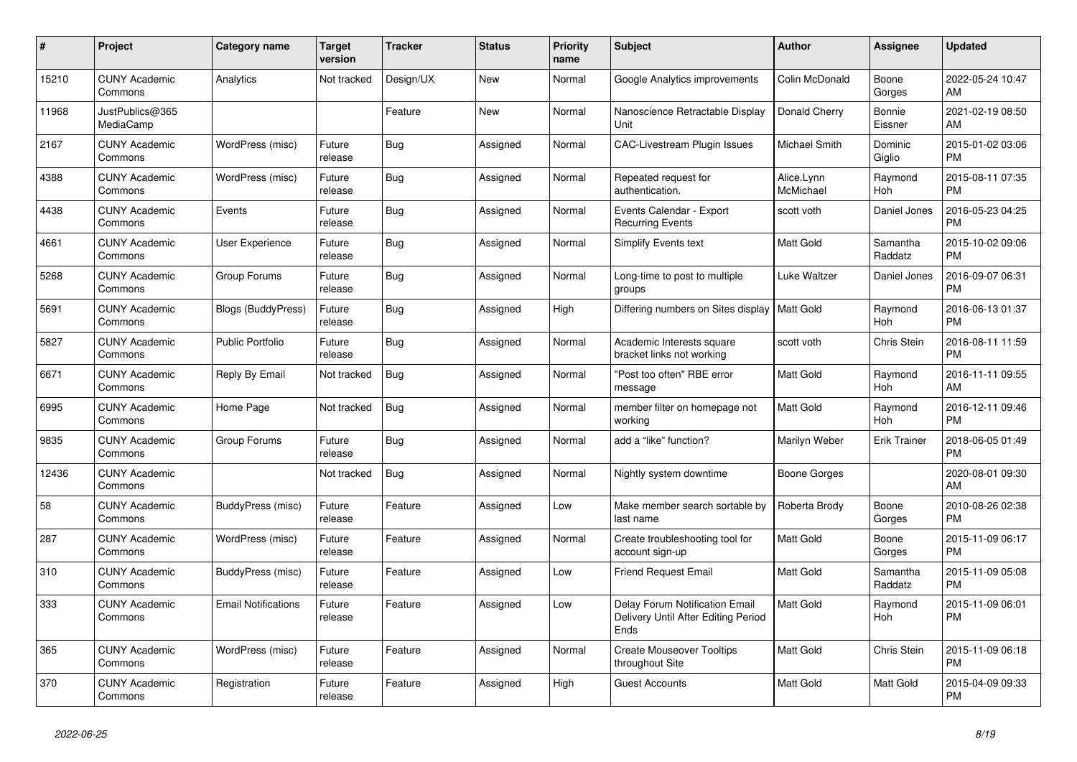| #     | Project                         | Category name              | Target<br>version | <b>Tracker</b> | <b>Status</b> | <b>Priority</b><br>name | <b>Subject</b>                                                                | Author                  | <b>Assignee</b>       | <b>Updated</b>                |
|-------|---------------------------------|----------------------------|-------------------|----------------|---------------|-------------------------|-------------------------------------------------------------------------------|-------------------------|-----------------------|-------------------------------|
| 15210 | <b>CUNY Academic</b><br>Commons | Analytics                  | Not tracked       | Design/UX      | <b>New</b>    | Normal                  | Google Analytics improvements                                                 | Colin McDonald          | Boone<br>Gorges       | 2022-05-24 10:47<br>AM        |
| 11968 | JustPublics@365<br>MediaCamp    |                            |                   | Feature        | <b>New</b>    | Normal                  | Nanoscience Retractable Display<br>Unit                                       | Donald Cherry           | Bonnie<br>Eissner     | 2021-02-19 08:50<br>AM        |
| 2167  | <b>CUNY Academic</b><br>Commons | WordPress (misc)           | Future<br>release | <b>Bug</b>     | Assigned      | Normal                  | CAC-Livestream Plugin Issues                                                  | Michael Smith           | Dominic<br>Giglio     | 2015-01-02 03:06<br><b>PM</b> |
| 4388  | <b>CUNY Academic</b><br>Commons | WordPress (misc)           | Future<br>release | <b>Bug</b>     | Assigned      | Normal                  | Repeated request for<br>authentication.                                       | Alice.Lynn<br>McMichael | Raymond<br><b>Hoh</b> | 2015-08-11 07:35<br><b>PM</b> |
| 4438  | <b>CUNY Academic</b><br>Commons | Events                     | Future<br>release | Bug            | Assigned      | Normal                  | Events Calendar - Export<br><b>Recurring Events</b>                           | scott voth              | Daniel Jones          | 2016-05-23 04:25<br><b>PM</b> |
| 4661  | <b>CUNY Academic</b><br>Commons | User Experience            | Future<br>release | <b>Bug</b>     | Assigned      | Normal                  | <b>Simplify Events text</b>                                                   | <b>Matt Gold</b>        | Samantha<br>Raddatz   | 2015-10-02 09:06<br><b>PM</b> |
| 5268  | <b>CUNY Academic</b><br>Commons | Group Forums               | Future<br>release | <b>Bug</b>     | Assigned      | Normal                  | Long-time to post to multiple<br>groups                                       | Luke Waltzer            | Daniel Jones          | 2016-09-07 06:31<br><b>PM</b> |
| 5691  | <b>CUNY Academic</b><br>Commons | <b>Blogs (BuddyPress)</b>  | Future<br>release | <b>Bug</b>     | Assigned      | High                    | Differing numbers on Sites display   Matt Gold                                |                         | Raymond<br>Hoh        | 2016-06-13 01:37<br><b>PM</b> |
| 5827  | <b>CUNY Academic</b><br>Commons | <b>Public Portfolio</b>    | Future<br>release | <b>Bug</b>     | Assigned      | Normal                  | Academic Interests square<br>bracket links not working                        | scott voth              | Chris Stein           | 2016-08-11 11:59<br><b>PM</b> |
| 6671  | <b>CUNY Academic</b><br>Commons | Reply By Email             | Not tracked       | Bug            | Assigned      | Normal                  | "Post too often" RBE error<br>message                                         | <b>Matt Gold</b>        | Raymond<br>Hoh        | 2016-11-11 09:55<br>AM        |
| 6995  | <b>CUNY Academic</b><br>Commons | Home Page                  | Not tracked       | Bug            | Assigned      | Normal                  | member filter on homepage not<br>working                                      | Matt Gold               | Raymond<br>Hoh        | 2016-12-11 09:46<br><b>PM</b> |
| 9835  | <b>CUNY Academic</b><br>Commons | Group Forums               | Future<br>release | <b>Bug</b>     | Assigned      | Normal                  | add a "like" function?                                                        | Marilyn Weber           | <b>Erik Trainer</b>   | 2018-06-05 01:49<br><b>PM</b> |
| 12436 | <b>CUNY Academic</b><br>Commons |                            | Not tracked       | Bug            | Assigned      | Normal                  | Nightly system downtime                                                       | Boone Gorges            |                       | 2020-08-01 09:30<br>AM        |
| 58    | <b>CUNY Academic</b><br>Commons | BuddyPress (misc)          | Future<br>release | Feature        | Assigned      | Low                     | Make member search sortable by<br>last name                                   | Roberta Brody           | Boone<br>Gorges       | 2010-08-26 02:38<br><b>PM</b> |
| 287   | <b>CUNY Academic</b><br>Commons | WordPress (misc)           | Future<br>release | Feature        | Assigned      | Normal                  | Create troubleshooting tool for<br>account sign-up                            | Matt Gold               | Boone<br>Gorges       | 2015-11-09 06:17<br><b>PM</b> |
| 310   | <b>CUNY Academic</b><br>Commons | BuddyPress (misc)          | Future<br>release | Feature        | Assigned      | Low                     | <b>Friend Request Email</b>                                                   | Matt Gold               | Samantha<br>Raddatz   | 2015-11-09 05:08<br><b>PM</b> |
| 333   | <b>CUNY Academic</b><br>Commons | <b>Email Notifications</b> | Future<br>release | Feature        | Assigned      | Low                     | Delay Forum Notification Email<br>Delivery Until After Editing Period<br>Ends | <b>Matt Gold</b>        | Raymond<br>Hoh        | 2015-11-09 06:01<br><b>PM</b> |
| 365   | <b>CUNY Academic</b><br>Commons | WordPress (misc)           | Future<br>release | Feature        | Assigned      | Normal                  | <b>Create Mouseover Tooltips</b><br>throughout Site                           | <b>Matt Gold</b>        | Chris Stein           | 2015-11-09 06:18<br><b>PM</b> |
| 370   | <b>CUNY Academic</b><br>Commons | Registration               | Future<br>release | Feature        | Assigned      | High                    | <b>Guest Accounts</b>                                                         | <b>Matt Gold</b>        | Matt Gold             | 2015-04-09 09:33<br><b>PM</b> |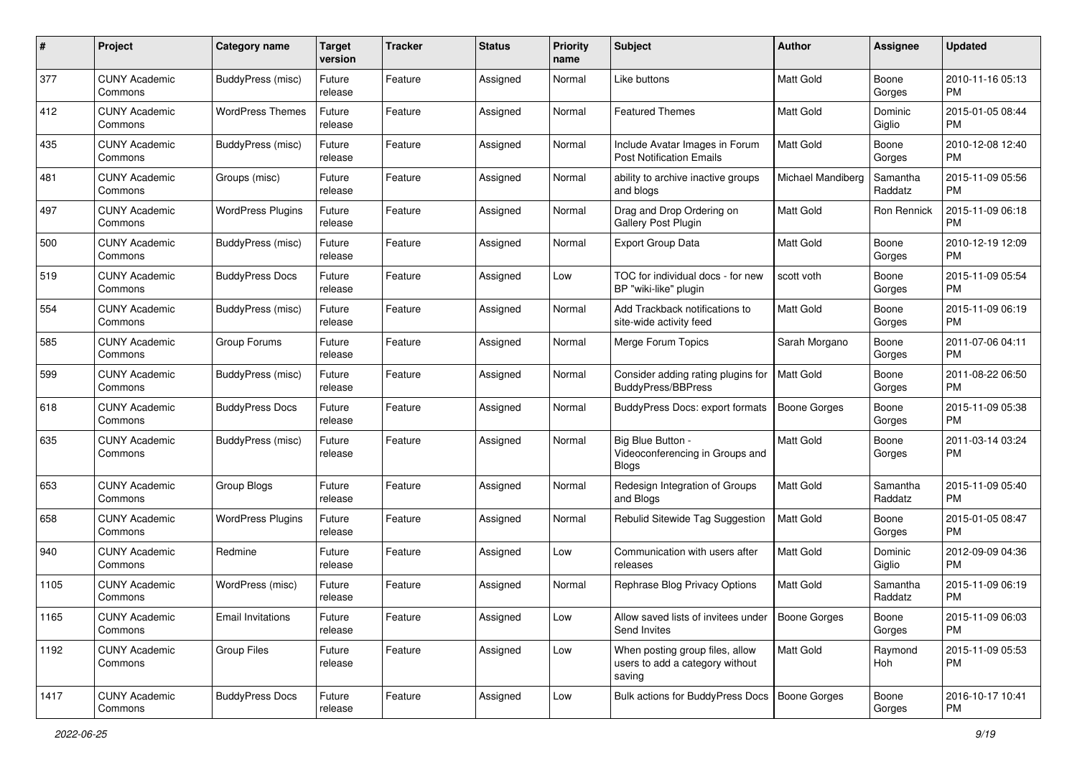| #    | Project                         | <b>Category name</b>     | <b>Target</b><br>version | <b>Tracker</b> | <b>Status</b> | <b>Priority</b><br>name | Subject                                                                      | Author              | <b>Assignee</b>     | <b>Updated</b>                |
|------|---------------------------------|--------------------------|--------------------------|----------------|---------------|-------------------------|------------------------------------------------------------------------------|---------------------|---------------------|-------------------------------|
| 377  | <b>CUNY Academic</b><br>Commons | BuddyPress (misc)        | Future<br>release        | Feature        | Assigned      | Normal                  | Like buttons                                                                 | <b>Matt Gold</b>    | Boone<br>Gorges     | 2010-11-16 05:13<br><b>PM</b> |
| 412  | <b>CUNY Academic</b><br>Commons | <b>WordPress Themes</b>  | Future<br>release        | Feature        | Assigned      | Normal                  | <b>Featured Themes</b>                                                       | Matt Gold           | Dominic<br>Giglio   | 2015-01-05 08:44<br><b>PM</b> |
| 435  | CUNY Academic<br>Commons        | BuddyPress (misc)        | Future<br>release        | Feature        | Assigned      | Normal                  | Include Avatar Images in Forum<br><b>Post Notification Emails</b>            | Matt Gold           | Boone<br>Gorges     | 2010-12-08 12:40<br><b>PM</b> |
| 481  | <b>CUNY Academic</b><br>Commons | Groups (misc)            | Future<br>release        | Feature        | Assigned      | Normal                  | ability to archive inactive groups<br>and blogs                              | Michael Mandiberg   | Samantha<br>Raddatz | 2015-11-09 05:56<br><b>PM</b> |
| 497  | <b>CUNY Academic</b><br>Commons | <b>WordPress Plugins</b> | Future<br>release        | Feature        | Assigned      | Normal                  | Drag and Drop Ordering on<br>Gallery Post Plugin                             | Matt Gold           | Ron Rennick         | 2015-11-09 06:18<br><b>PM</b> |
| 500  | <b>CUNY Academic</b><br>Commons | <b>BuddyPress</b> (misc) | Future<br>release        | Feature        | Assigned      | Normal                  | <b>Export Group Data</b>                                                     | Matt Gold           | Boone<br>Gorges     | 2010-12-19 12:09<br><b>PM</b> |
| 519  | <b>CUNY Academic</b><br>Commons | <b>BuddyPress Docs</b>   | Future<br>release        | Feature        | Assigned      | Low                     | TOC for individual docs - for new<br>BP "wiki-like" plugin                   | scott voth          | Boone<br>Gorges     | 2015-11-09 05:54<br><b>PM</b> |
| 554  | <b>CUNY Academic</b><br>Commons | BuddyPress (misc)        | Future<br>release        | Feature        | Assigned      | Normal                  | Add Trackback notifications to<br>site-wide activity feed                    | <b>Matt Gold</b>    | Boone<br>Gorges     | 2015-11-09 06:19<br><b>PM</b> |
| 585  | <b>CUNY Academic</b><br>Commons | Group Forums             | Future<br>release        | Feature        | Assigned      | Normal                  | Merge Forum Topics                                                           | Sarah Morgano       | Boone<br>Gorges     | 2011-07-06 04:11<br><b>PM</b> |
| 599  | CUNY Academic<br>Commons        | BuddyPress (misc)        | Future<br>release        | Feature        | Assigned      | Normal                  | Consider adding rating plugins for<br><b>BuddyPress/BBPress</b>              | Matt Gold           | Boone<br>Gorges     | 2011-08-22 06:50<br><b>PM</b> |
| 618  | <b>CUNY Academic</b><br>Commons | <b>BuddyPress Docs</b>   | Future<br>release        | Feature        | Assigned      | Normal                  | <b>BuddyPress Docs: export formats</b>                                       | <b>Boone Gorges</b> | Boone<br>Gorges     | 2015-11-09 05:38<br><b>PM</b> |
| 635  | <b>CUNY Academic</b><br>Commons | BuddyPress (misc)        | Future<br>release        | Feature        | Assigned      | Normal                  | Big Blue Button -<br>Videoconferencing in Groups and<br><b>Blogs</b>         | Matt Gold           | Boone<br>Gorges     | 2011-03-14 03:24<br><b>PM</b> |
| 653  | <b>CUNY Academic</b><br>Commons | Group Blogs              | Future<br>release        | Feature        | Assigned      | Normal                  | Redesign Integration of Groups<br>and Blogs                                  | <b>Matt Gold</b>    | Samantha<br>Raddatz | 2015-11-09 05:40<br><b>PM</b> |
| 658  | <b>CUNY Academic</b><br>Commons | <b>WordPress Plugins</b> | Future<br>release        | Feature        | Assigned      | Normal                  | Rebulid Sitewide Tag Suggestion                                              | <b>Matt Gold</b>    | Boone<br>Gorges     | 2015-01-05 08:47<br><b>PM</b> |
| 940  | <b>CUNY Academic</b><br>Commons | Redmine                  | Future<br>release        | Feature        | Assigned      | Low                     | Communication with users after<br>releases                                   | Matt Gold           | Dominic<br>Giglio   | 2012-09-09 04:36<br><b>PM</b> |
| 1105 | <b>CUNY Academic</b><br>Commons | WordPress (misc)         | Future<br>release        | Feature        | Assigned      | Normal                  | Rephrase Blog Privacy Options                                                | Matt Gold           | Samantha<br>Raddatz | 2015-11-09 06:19<br><b>PM</b> |
| 1165 | <b>CUNY Academic</b><br>Commons | <b>Email Invitations</b> | Future<br>release        | Feature        | Assigned      | Low                     | Allow saved lists of invitees under   Boone Gorges<br>Send Invites           |                     | Boone<br>Gorges     | 2015-11-09 06:03<br><b>PM</b> |
| 1192 | <b>CUNY Academic</b><br>Commons | Group Files              | Future<br>release        | Feature        | Assigned      | Low                     | When posting group files, allow<br>users to add a category without<br>saving | Matt Gold           | Raymond<br>Hoh      | 2015-11-09 05:53<br><b>PM</b> |
| 1417 | <b>CUNY Academic</b><br>Commons | <b>BuddyPress Docs</b>   | Future<br>release        | Feature        | Assigned      | Low                     | Bulk actions for BuddyPress Docs   Boone Gorges                              |                     | Boone<br>Gorges     | 2016-10-17 10:41<br><b>PM</b> |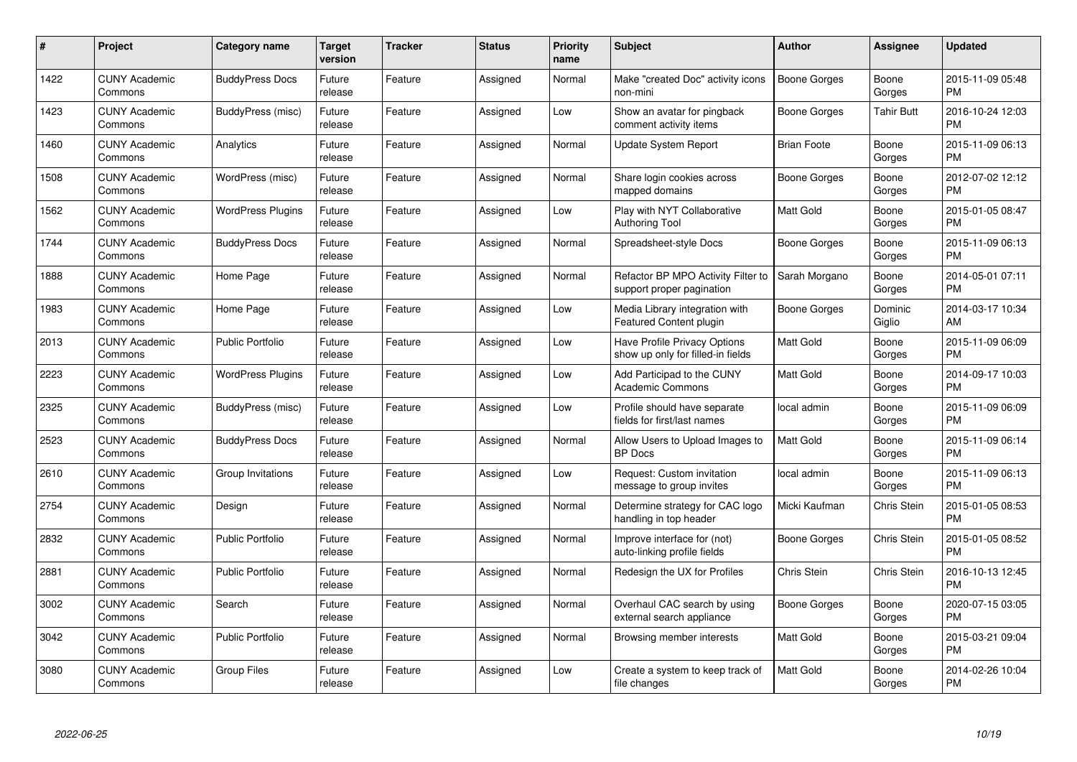| $\#$ | Project                         | <b>Category name</b>     | <b>Target</b><br>version | <b>Tracker</b> | <b>Status</b> | <b>Priority</b><br>name | <b>Subject</b>                                                    | Author              | <b>Assignee</b>   | <b>Updated</b>                |
|------|---------------------------------|--------------------------|--------------------------|----------------|---------------|-------------------------|-------------------------------------------------------------------|---------------------|-------------------|-------------------------------|
| 1422 | <b>CUNY Academic</b><br>Commons | <b>BuddyPress Docs</b>   | Future<br>release        | Feature        | Assigned      | Normal                  | Make "created Doc" activity icons<br>non-mini                     | <b>Boone Gorges</b> | Boone<br>Gorges   | 2015-11-09 05:48<br><b>PM</b> |
| 1423 | <b>CUNY Academic</b><br>Commons | BuddyPress (misc)        | Future<br>release        | Feature        | Assigned      | Low                     | Show an avatar for pingback<br>comment activity items             | Boone Gorges        | <b>Tahir Butt</b> | 2016-10-24 12:03<br><b>PM</b> |
| 1460 | <b>CUNY Academic</b><br>Commons | Analytics                | Future<br>release        | Feature        | Assigned      | Normal                  | Update System Report                                              | <b>Brian Foote</b>  | Boone<br>Gorges   | 2015-11-09 06:13<br><b>PM</b> |
| 1508 | <b>CUNY Academic</b><br>Commons | WordPress (misc)         | Future<br>release        | Feature        | Assigned      | Normal                  | Share login cookies across<br>mapped domains                      | Boone Gorges        | Boone<br>Gorges   | 2012-07-02 12:12<br><b>PM</b> |
| 1562 | <b>CUNY Academic</b><br>Commons | <b>WordPress Plugins</b> | Future<br>release        | Feature        | Assigned      | Low                     | Play with NYT Collaborative<br><b>Authoring Tool</b>              | <b>Matt Gold</b>    | Boone<br>Gorges   | 2015-01-05 08:47<br><b>PM</b> |
| 1744 | <b>CUNY Academic</b><br>Commons | <b>BuddyPress Docs</b>   | Future<br>release        | Feature        | Assigned      | Normal                  | Spreadsheet-style Docs                                            | Boone Gorges        | Boone<br>Gorges   | 2015-11-09 06:13<br><b>PM</b> |
| 1888 | <b>CUNY Academic</b><br>Commons | Home Page                | Future<br>release        | Feature        | Assigned      | Normal                  | Refactor BP MPO Activity Filter to<br>support proper pagination   | Sarah Morgano       | Boone<br>Gorges   | 2014-05-01 07:11<br><b>PM</b> |
| 1983 | <b>CUNY Academic</b><br>Commons | Home Page                | Future<br>release        | Feature        | Assigned      | Low                     | Media Library integration with<br><b>Featured Content plugin</b>  | Boone Gorges        | Dominic<br>Giglio | 2014-03-17 10:34<br>AM        |
| 2013 | <b>CUNY Academic</b><br>Commons | <b>Public Portfolio</b>  | Future<br>release        | Feature        | Assigned      | Low                     | Have Profile Privacy Options<br>show up only for filled-in fields | <b>Matt Gold</b>    | Boone<br>Gorges   | 2015-11-09 06:09<br><b>PM</b> |
| 2223 | <b>CUNY Academic</b><br>Commons | <b>WordPress Plugins</b> | Future<br>release        | Feature        | Assigned      | Low                     | Add Participad to the CUNY<br>Academic Commons                    | Matt Gold           | Boone<br>Gorges   | 2014-09-17 10:03<br>PM        |
| 2325 | <b>CUNY Academic</b><br>Commons | BuddyPress (misc)        | Future<br>release        | Feature        | Assigned      | Low                     | Profile should have separate<br>fields for first/last names       | local admin         | Boone<br>Gorges   | 2015-11-09 06:09<br><b>PM</b> |
| 2523 | <b>CUNY Academic</b><br>Commons | <b>BuddyPress Docs</b>   | Future<br>release        | Feature        | Assigned      | Normal                  | Allow Users to Upload Images to<br><b>BP</b> Docs                 | Matt Gold           | Boone<br>Gorges   | 2015-11-09 06:14<br><b>PM</b> |
| 2610 | <b>CUNY Academic</b><br>Commons | Group Invitations        | Future<br>release        | Feature        | Assigned      | Low                     | Request: Custom invitation<br>message to group invites            | local admin         | Boone<br>Gorges   | 2015-11-09 06:13<br><b>PM</b> |
| 2754 | <b>CUNY Academic</b><br>Commons | Design                   | Future<br>release        | Feature        | Assigned      | Normal                  | Determine strategy for CAC logo<br>handling in top header         | Micki Kaufman       | Chris Stein       | 2015-01-05 08:53<br><b>PM</b> |
| 2832 | <b>CUNY Academic</b><br>Commons | Public Portfolio         | Future<br>release        | Feature        | Assigned      | Normal                  | Improve interface for (not)<br>auto-linking profile fields        | Boone Gorges        | Chris Stein       | 2015-01-05 08:52<br><b>PM</b> |
| 2881 | <b>CUNY Academic</b><br>Commons | <b>Public Portfolio</b>  | Future<br>release        | Feature        | Assigned      | Normal                  | Redesign the UX for Profiles                                      | <b>Chris Stein</b>  | Chris Stein       | 2016-10-13 12:45<br><b>PM</b> |
| 3002 | <b>CUNY Academic</b><br>Commons | Search                   | Future<br>release        | Feature        | Assigned      | Normal                  | Overhaul CAC search by using<br>external search appliance         | Boone Gorges        | Boone<br>Gorges   | 2020-07-15 03:05<br><b>PM</b> |
| 3042 | <b>CUNY Academic</b><br>Commons | <b>Public Portfolio</b>  | Future<br>release        | Feature        | Assigned      | Normal                  | Browsing member interests                                         | Matt Gold           | Boone<br>Gorges   | 2015-03-21 09:04<br><b>PM</b> |
| 3080 | <b>CUNY Academic</b><br>Commons | Group Files              | Future<br>release        | Feature        | Assigned      | Low                     | Create a system to keep track of<br>file changes                  | <b>Matt Gold</b>    | Boone<br>Gorges   | 2014-02-26 10:04<br>PM        |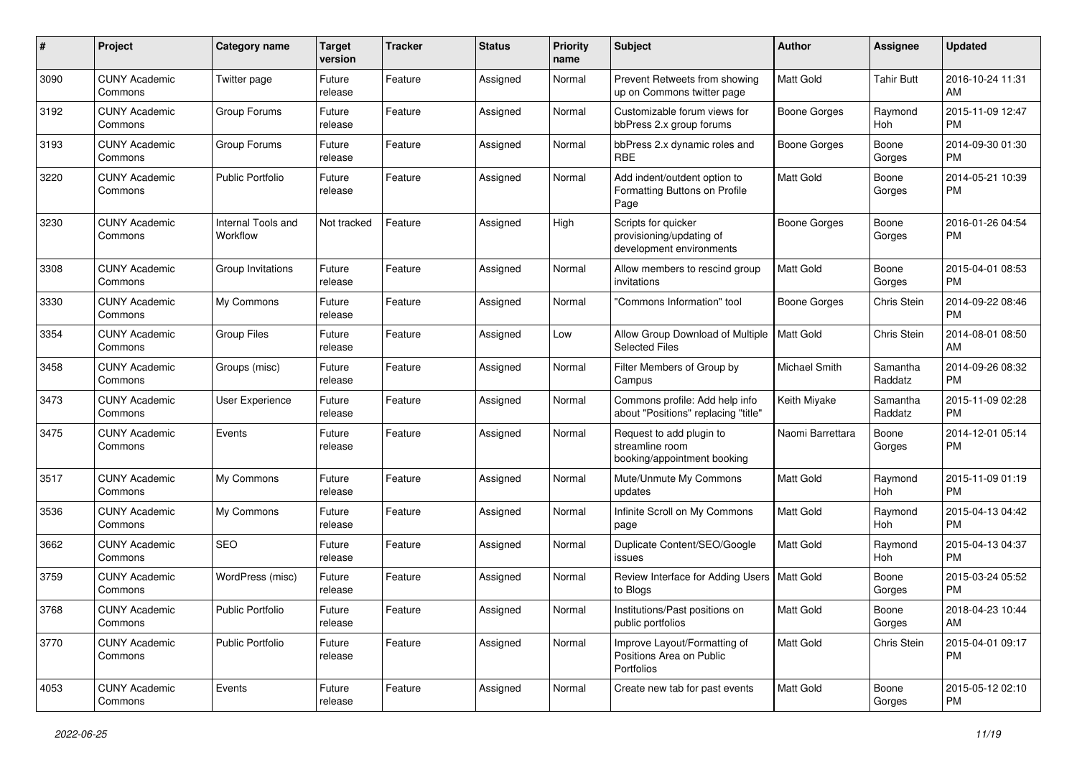| #    | Project                         | <b>Category name</b>           | <b>Target</b><br>version | <b>Tracker</b> | <b>Status</b> | <b>Priority</b><br>name | <b>Subject</b>                                                              | Author               | Assignee            | <b>Updated</b>                |
|------|---------------------------------|--------------------------------|--------------------------|----------------|---------------|-------------------------|-----------------------------------------------------------------------------|----------------------|---------------------|-------------------------------|
| 3090 | <b>CUNY Academic</b><br>Commons | Twitter page                   | Future<br>release        | Feature        | Assigned      | Normal                  | Prevent Retweets from showing<br>up on Commons twitter page                 | Matt Gold            | <b>Tahir Butt</b>   | 2016-10-24 11:31<br>AM        |
| 3192 | <b>CUNY Academic</b><br>Commons | Group Forums                   | Future<br>release        | Feature        | Assigned      | Normal                  | Customizable forum views for<br>bbPress 2.x group forums                    | <b>Boone Gorges</b>  | Raymond<br>Hoh      | 2015-11-09 12:47<br><b>PM</b> |
| 3193 | <b>CUNY Academic</b><br>Commons | Group Forums                   | Future<br>release        | Feature        | Assigned      | Normal                  | bbPress 2.x dynamic roles and<br><b>RBE</b>                                 | <b>Boone Gorges</b>  | Boone<br>Gorges     | 2014-09-30 01:30<br><b>PM</b> |
| 3220 | <b>CUNY Academic</b><br>Commons | <b>Public Portfolio</b>        | Future<br>release        | Feature        | Assigned      | Normal                  | Add indent/outdent option to<br>Formatting Buttons on Profile<br>Page       | <b>Matt Gold</b>     | Boone<br>Gorges     | 2014-05-21 10:39<br><b>PM</b> |
| 3230 | <b>CUNY Academic</b><br>Commons | Internal Tools and<br>Workflow | Not tracked              | Feature        | Assigned      | High                    | Scripts for quicker<br>provisioning/updating of<br>development environments | <b>Boone Gorges</b>  | Boone<br>Gorges     | 2016-01-26 04:54<br><b>PM</b> |
| 3308 | <b>CUNY Academic</b><br>Commons | Group Invitations              | Future<br>release        | Feature        | Assigned      | Normal                  | Allow members to rescind group<br>invitations                               | <b>Matt Gold</b>     | Boone<br>Gorges     | 2015-04-01 08:53<br><b>PM</b> |
| 3330 | <b>CUNY Academic</b><br>Commons | My Commons                     | Future<br>release        | Feature        | Assigned      | Normal                  | 'Commons Information" tool                                                  | <b>Boone Gorges</b>  | Chris Stein         | 2014-09-22 08:46<br><b>PM</b> |
| 3354 | <b>CUNY Academic</b><br>Commons | Group Files                    | Future<br>release        | Feature        | Assigned      | Low                     | Allow Group Download of Multiple<br><b>Selected Files</b>                   | Matt Gold            | Chris Stein         | 2014-08-01 08:50<br>AM        |
| 3458 | <b>CUNY Academic</b><br>Commons | Groups (misc)                  | Future<br>release        | Feature        | Assigned      | Normal                  | Filter Members of Group by<br>Campus                                        | <b>Michael Smith</b> | Samantha<br>Raddatz | 2014-09-26 08:32<br><b>PM</b> |
| 3473 | <b>CUNY Academic</b><br>Commons | User Experience                | Future<br>release        | Feature        | Assigned      | Normal                  | Commons profile: Add help info<br>about "Positions" replacing "title"       | Keith Miyake         | Samantha<br>Raddatz | 2015-11-09 02:28<br><b>PM</b> |
| 3475 | <b>CUNY Academic</b><br>Commons | Events                         | Future<br>release        | Feature        | Assigned      | Normal                  | Request to add plugin to<br>streamline room<br>booking/appointment booking  | Naomi Barrettara     | Boone<br>Gorges     | 2014-12-01 05:14<br><b>PM</b> |
| 3517 | <b>CUNY Academic</b><br>Commons | My Commons                     | Future<br>release        | Feature        | Assigned      | Normal                  | Mute/Unmute My Commons<br>updates                                           | Matt Gold            | Raymond<br>Hoh      | 2015-11-09 01:19<br><b>PM</b> |
| 3536 | <b>CUNY Academic</b><br>Commons | My Commons                     | Future<br>release        | Feature        | Assigned      | Normal                  | Infinite Scroll on My Commons<br>page                                       | Matt Gold            | Raymond<br>Hoh      | 2015-04-13 04:42<br><b>PM</b> |
| 3662 | <b>CUNY Academic</b><br>Commons | <b>SEO</b>                     | Future<br>release        | Feature        | Assigned      | Normal                  | Duplicate Content/SEO/Google<br>issues                                      | Matt Gold            | Raymond<br>Hoh      | 2015-04-13 04:37<br><b>PM</b> |
| 3759 | <b>CUNY Academic</b><br>Commons | WordPress (misc)               | Future<br>release        | Feature        | Assigned      | Normal                  | Review Interface for Adding Users   Matt Gold<br>to Blogs                   |                      | Boone<br>Gorges     | 2015-03-24 05:52<br>PM        |
| 3768 | <b>CUNY Academic</b><br>Commons | Public Portfolio               | Future<br>release        | Feature        | Assigned      | Normal                  | Institutions/Past positions on<br>public portfolios                         | Matt Gold            | Boone<br>Gorges     | 2018-04-23 10:44<br>AM        |
| 3770 | <b>CUNY Academic</b><br>Commons | Public Portfolio               | Future<br>release        | Feature        | Assigned      | Normal                  | Improve Layout/Formatting of<br>Positions Area on Public<br>Portfolios      | Matt Gold            | Chris Stein         | 2015-04-01 09:17<br>PM        |
| 4053 | <b>CUNY Academic</b><br>Commons | Events                         | Future<br>release        | Feature        | Assigned      | Normal                  | Create new tab for past events                                              | Matt Gold            | Boone<br>Gorges     | 2015-05-12 02:10<br><b>PM</b> |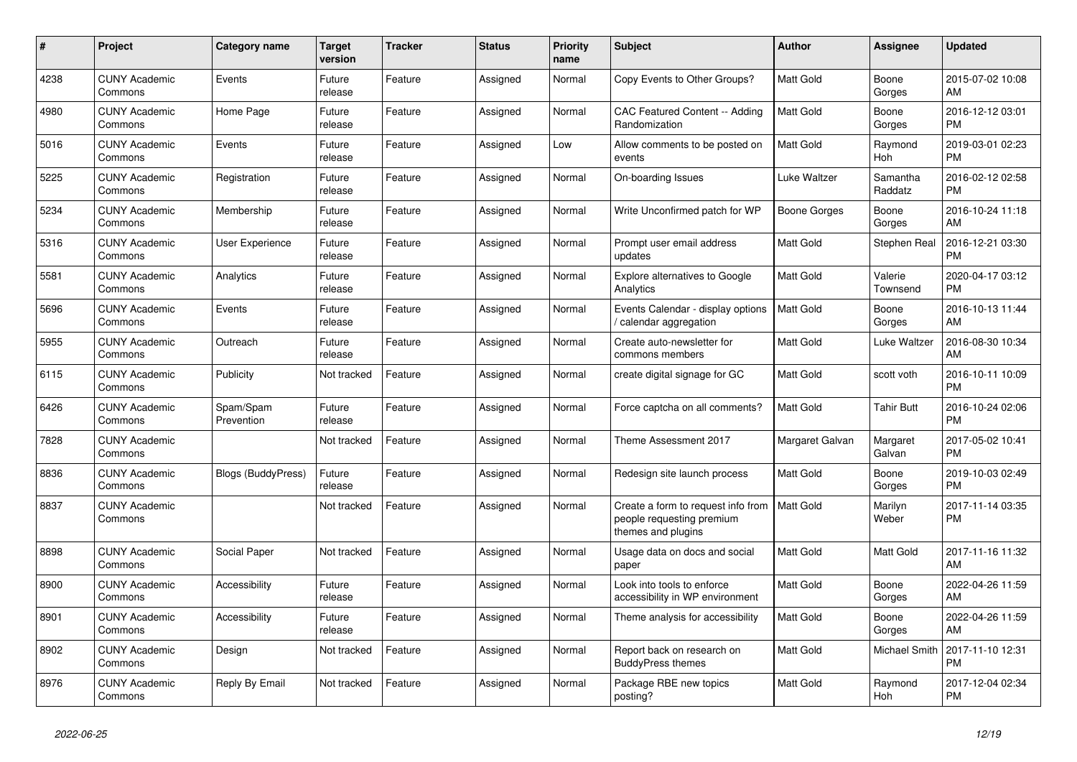| #    | <b>Project</b>                  | <b>Category name</b>      | <b>Target</b><br>version | <b>Tracker</b> | <b>Status</b> | <b>Priority</b><br>name | <b>Subject</b>                                                                        | <b>Author</b>    | Assignee            | <b>Updated</b>                |
|------|---------------------------------|---------------------------|--------------------------|----------------|---------------|-------------------------|---------------------------------------------------------------------------------------|------------------|---------------------|-------------------------------|
| 4238 | <b>CUNY Academic</b><br>Commons | Events                    | Future<br>release        | Feature        | Assigned      | Normal                  | Copy Events to Other Groups?                                                          | <b>Matt Gold</b> | Boone<br>Gorges     | 2015-07-02 10:08<br>AM        |
| 4980 | <b>CUNY Academic</b><br>Commons | Home Page                 | Future<br>release        | Feature        | Assigned      | Normal                  | <b>CAC Featured Content -- Adding</b><br>Randomization                                | Matt Gold        | Boone<br>Gorges     | 2016-12-12 03:01<br><b>PM</b> |
| 5016 | <b>CUNY Academic</b><br>Commons | Events                    | Future<br>release        | Feature        | Assigned      | Low                     | Allow comments to be posted on<br>events                                              | Matt Gold        | Raymond<br>Hoh      | 2019-03-01 02:23<br><b>PM</b> |
| 5225 | <b>CUNY Academic</b><br>Commons | Registration              | Future<br>release        | Feature        | Assigned      | Normal                  | On-boarding Issues                                                                    | Luke Waltzer     | Samantha<br>Raddatz | 2016-02-12 02:58<br><b>PM</b> |
| 5234 | <b>CUNY Academic</b><br>Commons | Membership                | Future<br>release        | Feature        | Assigned      | Normal                  | Write Unconfirmed patch for WP                                                        | Boone Gorges     | Boone<br>Gorges     | 2016-10-24 11:18<br>AM        |
| 5316 | <b>CUNY Academic</b><br>Commons | <b>User Experience</b>    | Future<br>release        | Feature        | Assigned      | Normal                  | Prompt user email address<br>updates                                                  | Matt Gold        | <b>Stephen Real</b> | 2016-12-21 03:30<br><b>PM</b> |
| 5581 | <b>CUNY Academic</b><br>Commons | Analytics                 | Future<br>release        | Feature        | Assigned      | Normal                  | Explore alternatives to Google<br>Analytics                                           | <b>Matt Gold</b> | Valerie<br>Townsend | 2020-04-17 03:12<br><b>PM</b> |
| 5696 | <b>CUNY Academic</b><br>Commons | Events                    | Future<br>release        | Feature        | Assigned      | Normal                  | Events Calendar - display options<br>calendar aggregation                             | Matt Gold        | Boone<br>Gorges     | 2016-10-13 11:44<br>AM        |
| 5955 | <b>CUNY Academic</b><br>Commons | Outreach                  | Future<br>release        | Feature        | Assigned      | Normal                  | Create auto-newsletter for<br>commons members                                         | Matt Gold        | Luke Waltzer        | 2016-08-30 10:34<br>AM        |
| 6115 | <b>CUNY Academic</b><br>Commons | Publicity                 | Not tracked              | Feature        | Assigned      | Normal                  | create digital signage for GC                                                         | Matt Gold        | scott voth          | 2016-10-11 10:09<br><b>PM</b> |
| 6426 | <b>CUNY Academic</b><br>Commons | Spam/Spam<br>Prevention   | Future<br>release        | Feature        | Assigned      | Normal                  | Force captcha on all comments?                                                        | Matt Gold        | <b>Tahir Butt</b>   | 2016-10-24 02:06<br><b>PM</b> |
| 7828 | <b>CUNY Academic</b><br>Commons |                           | Not tracked              | Feature        | Assigned      | Normal                  | Theme Assessment 2017                                                                 | Margaret Galvan  | Margaret<br>Galvan  | 2017-05-02 10:41<br><b>PM</b> |
| 8836 | <b>CUNY Academic</b><br>Commons | <b>Blogs (BuddyPress)</b> | Future<br>release        | Feature        | Assigned      | Normal                  | Redesign site launch process                                                          | Matt Gold        | Boone<br>Gorges     | 2019-10-03 02:49<br><b>PM</b> |
| 8837 | <b>CUNY Academic</b><br>Commons |                           | Not tracked              | Feature        | Assigned      | Normal                  | Create a form to request info from<br>people requesting premium<br>themes and plugins | <b>Matt Gold</b> | Marilyn<br>Weber    | 2017-11-14 03:35<br><b>PM</b> |
| 8898 | <b>CUNY Academic</b><br>Commons | Social Paper              | Not tracked              | Feature        | Assigned      | Normal                  | Usage data on docs and social<br>paper                                                | <b>Matt Gold</b> | Matt Gold           | 2017-11-16 11:32<br>AM        |
| 8900 | <b>CUNY Academic</b><br>Commons | Accessibility             | Future<br>release        | Feature        | Assigned      | Normal                  | Look into tools to enforce<br>accessibility in WP environment                         | Matt Gold        | Boone<br>Gorges     | 2022-04-26 11:59<br>AM        |
| 8901 | <b>CUNY Academic</b><br>Commons | Accessibility             | Future<br>release        | Feature        | Assigned      | Normal                  | Theme analysis for accessibility                                                      | Matt Gold        | Boone<br>Gorges     | 2022-04-26 11:59<br>AM        |
| 8902 | <b>CUNY Academic</b><br>Commons | Design                    | Not tracked              | Feature        | Assigned      | Normal                  | Report back on research on<br><b>BuddyPress themes</b>                                | Matt Gold        | Michael Smith       | 2017-11-10 12:31<br><b>PM</b> |
| 8976 | <b>CUNY Academic</b><br>Commons | Reply By Email            | Not tracked              | Feature        | Assigned      | Normal                  | Package RBE new topics<br>posting?                                                    | Matt Gold        | Raymond<br>Hoh      | 2017-12-04 02:34<br><b>PM</b> |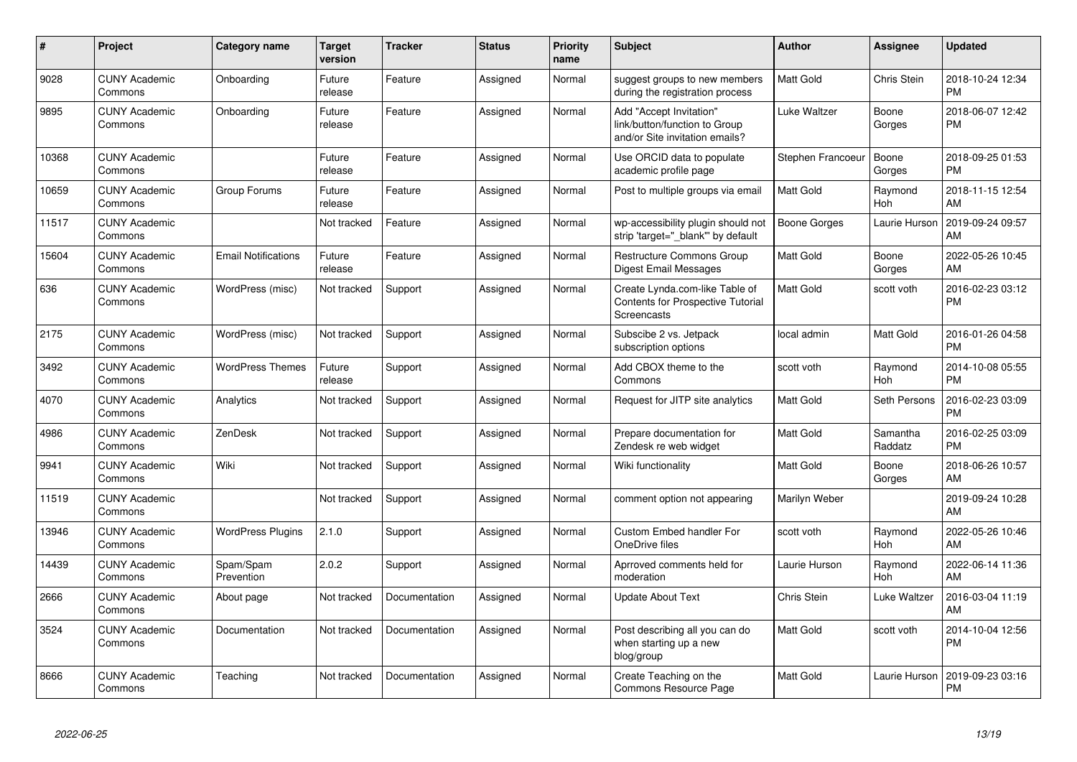| #     | <b>Project</b>                  | Category name              | <b>Target</b><br>version | <b>Tracker</b> | <b>Status</b> | Priority<br>name | <b>Subject</b>                                                                             | <b>Author</b>       | Assignee              | <b>Updated</b>                |
|-------|---------------------------------|----------------------------|--------------------------|----------------|---------------|------------------|--------------------------------------------------------------------------------------------|---------------------|-----------------------|-------------------------------|
| 9028  | <b>CUNY Academic</b><br>Commons | Onboarding                 | Future<br>release        | Feature        | Assigned      | Normal           | suggest groups to new members<br>during the registration process                           | Matt Gold           | Chris Stein           | 2018-10-24 12:34<br><b>PM</b> |
| 9895  | <b>CUNY Academic</b><br>Commons | Onboarding                 | Future<br>release        | Feature        | Assigned      | Normal           | Add "Accept Invitation"<br>link/button/function to Group<br>and/or Site invitation emails? | Luke Waltzer        | Boone<br>Gorges       | 2018-06-07 12:42<br><b>PM</b> |
| 10368 | <b>CUNY Academic</b><br>Commons |                            | Future<br>release        | Feature        | Assigned      | Normal           | Use ORCID data to populate<br>academic profile page                                        | Stephen Francoeur   | Boone<br>Gorges       | 2018-09-25 01:53<br><b>PM</b> |
| 10659 | <b>CUNY Academic</b><br>Commons | Group Forums               | Future<br>release        | Feature        | Assigned      | Normal           | Post to multiple groups via email                                                          | Matt Gold           | Raymond<br><b>Hoh</b> | 2018-11-15 12:54<br>AM        |
| 11517 | <b>CUNY Academic</b><br>Commons |                            | Not tracked              | Feature        | Assigned      | Normal           | wp-accessibility plugin should not<br>strip 'target=" blank" by default                    | <b>Boone Gorges</b> | Laurie Hurson         | 2019-09-24 09:57<br>AM        |
| 15604 | <b>CUNY Academic</b><br>Commons | <b>Email Notifications</b> | Future<br>release        | Feature        | Assigned      | Normal           | <b>Restructure Commons Group</b><br><b>Digest Email Messages</b>                           | Matt Gold           | Boone<br>Gorges       | 2022-05-26 10:45<br>AM        |
| 636   | <b>CUNY Academic</b><br>Commons | WordPress (misc)           | Not tracked              | Support        | Assigned      | Normal           | Create Lynda.com-like Table of<br><b>Contents for Prospective Tutorial</b><br>Screencasts  | Matt Gold           | scott voth            | 2016-02-23 03:12<br><b>PM</b> |
| 2175  | <b>CUNY Academic</b><br>Commons | WordPress (misc)           | Not tracked              | Support        | Assigned      | Normal           | Subscibe 2 vs. Jetpack<br>subscription options                                             | local admin         | Matt Gold             | 2016-01-26 04:58<br><b>PM</b> |
| 3492  | <b>CUNY Academic</b><br>Commons | <b>WordPress Themes</b>    | Future<br>release        | Support        | Assigned      | Normal           | Add CBOX theme to the<br>Commons                                                           | scott voth          | Raymond<br>Hoh        | 2014-10-08 05:55<br>PM        |
| 4070  | <b>CUNY Academic</b><br>Commons | Analytics                  | Not tracked              | Support        | Assigned      | Normal           | Request for JITP site analytics                                                            | Matt Gold           | Seth Persons          | 2016-02-23 03:09<br>PM        |
| 4986  | <b>CUNY Academic</b><br>Commons | ZenDesk                    | Not tracked              | Support        | Assigned      | Normal           | Prepare documentation for<br>Zendesk re web widget                                         | Matt Gold           | Samantha<br>Raddatz   | 2016-02-25 03:09<br><b>PM</b> |
| 9941  | <b>CUNY Academic</b><br>Commons | Wiki                       | Not tracked              | Support        | Assigned      | Normal           | Wiki functionality                                                                         | Matt Gold           | Boone<br>Gorges       | 2018-06-26 10:57<br>AM        |
| 11519 | <b>CUNY Academic</b><br>Commons |                            | Not tracked              | Support        | Assigned      | Normal           | comment option not appearing                                                               | Marilyn Weber       |                       | 2019-09-24 10:28<br>AM        |
| 13946 | <b>CUNY Academic</b><br>Commons | <b>WordPress Plugins</b>   | 2.1.0                    | Support        | Assigned      | Normal           | Custom Embed handler For<br>OneDrive files                                                 | scott voth          | Raymond<br><b>Hoh</b> | 2022-05-26 10:46<br>AM        |
| 14439 | <b>CUNY Academic</b><br>Commons | Spam/Spam<br>Prevention    | 2.0.2                    | Support        | Assigned      | Normal           | Aprroved comments held for<br>moderation                                                   | Laurie Hurson       | Raymond<br>Hoh        | 2022-06-14 11:36<br>AM        |
| 2666  | <b>CUNY Academic</b><br>Commons | About page                 | Not tracked              | Documentation  | Assigned      | Normal           | Update About Text                                                                          | Chris Stein         | Luke Waltzer          | 2016-03-04 11:19<br>AM        |
| 3524  | <b>CUNY Academic</b><br>Commons | Documentation              | Not tracked              | Documentation  | Assigned      | Normal           | Post describing all you can do<br>when starting up a new<br>blog/group                     | Matt Gold           | scott voth            | 2014-10-04 12:56<br>PM        |
| 8666  | <b>CUNY Academic</b><br>Commons | Teaching                   | Not tracked              | Documentation  | Assigned      | Normal           | Create Teaching on the<br>Commons Resource Page                                            | Matt Gold           | Laurie Hurson         | 2019-09-23 03:16<br><b>PM</b> |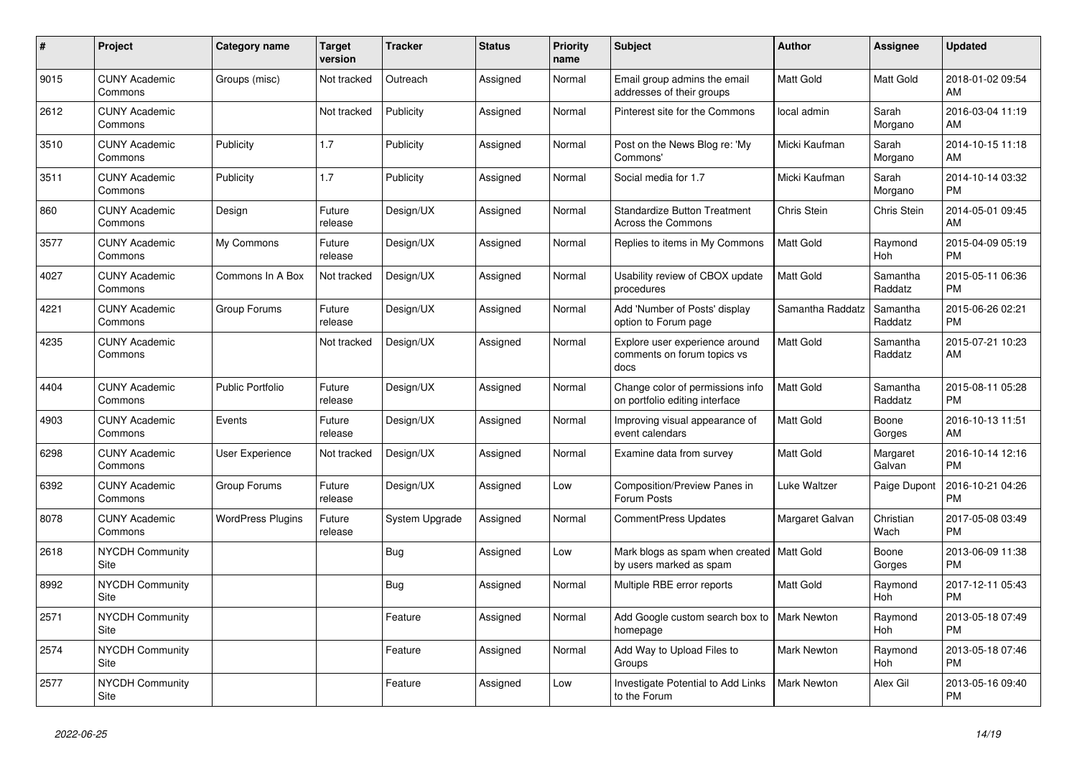| $\pmb{\#}$ | <b>Project</b>                  | Category name            | <b>Target</b><br>version | <b>Tracker</b> | <b>Status</b> | <b>Priority</b><br>name | <b>Subject</b>                                                         | Author             | <b>Assignee</b>       | <b>Updated</b>                |
|------------|---------------------------------|--------------------------|--------------------------|----------------|---------------|-------------------------|------------------------------------------------------------------------|--------------------|-----------------------|-------------------------------|
| 9015       | <b>CUNY Academic</b><br>Commons | Groups (misc)            | Not tracked              | Outreach       | Assigned      | Normal                  | Email group admins the email<br>addresses of their groups              | <b>Matt Gold</b>   | Matt Gold             | 2018-01-02 09:54<br>AM        |
| 2612       | <b>CUNY Academic</b><br>Commons |                          | Not tracked              | Publicity      | Assigned      | Normal                  | Pinterest site for the Commons                                         | local admin        | Sarah<br>Morgano      | 2016-03-04 11:19<br>AM        |
| 3510       | <b>CUNY Academic</b><br>Commons | Publicity                | 1.7                      | Publicity      | Assigned      | Normal                  | Post on the News Blog re: 'My<br>Commons'                              | Micki Kaufman      | Sarah<br>Morgano      | 2014-10-15 11:18<br>AM        |
| 3511       | <b>CUNY Academic</b><br>Commons | Publicity                | 1.7                      | Publicity      | Assigned      | Normal                  | Social media for 1.7                                                   | Micki Kaufman      | Sarah<br>Morgano      | 2014-10-14 03:32<br><b>PM</b> |
| 860        | <b>CUNY Academic</b><br>Commons | Design                   | Future<br>release        | Design/UX      | Assigned      | Normal                  | <b>Standardize Button Treatment</b><br>Across the Commons              | <b>Chris Stein</b> | Chris Stein           | 2014-05-01 09:45<br>AM        |
| 3577       | <b>CUNY Academic</b><br>Commons | My Commons               | Future<br>release        | Design/UX      | Assigned      | Normal                  | Replies to items in My Commons                                         | Matt Gold          | Raymond<br>Hoh        | 2015-04-09 05:19<br><b>PM</b> |
| 4027       | <b>CUNY Academic</b><br>Commons | Commons In A Box         | Not tracked              | Design/UX      | Assigned      | Normal                  | Usability review of CBOX update<br>procedures                          | <b>Matt Gold</b>   | Samantha<br>Raddatz   | 2015-05-11 06:36<br><b>PM</b> |
| 4221       | <b>CUNY Academic</b><br>Commons | Group Forums             | Future<br>release        | Design/UX      | Assigned      | Normal                  | Add 'Number of Posts' display<br>option to Forum page                  | Samantha Raddatz   | Samantha<br>Raddatz   | 2015-06-26 02:21<br><b>PM</b> |
| 4235       | <b>CUNY Academic</b><br>Commons |                          | Not tracked              | Design/UX      | Assigned      | Normal                  | Explore user experience around<br>comments on forum topics vs<br>docs  | Matt Gold          | Samantha<br>Raddatz   | 2015-07-21 10:23<br>AM        |
| 4404       | <b>CUNY Academic</b><br>Commons | <b>Public Portfolio</b>  | Future<br>release        | Design/UX      | Assigned      | Normal                  | Change color of permissions info<br>on portfolio editing interface     | <b>Matt Gold</b>   | Samantha<br>Raddatz   | 2015-08-11 05:28<br><b>PM</b> |
| 4903       | <b>CUNY Academic</b><br>Commons | Events                   | Future<br>release        | Design/UX      | Assigned      | Normal                  | Improving visual appearance of<br>event calendars                      | Matt Gold          | Boone<br>Gorges       | 2016-10-13 11:51<br>AM        |
| 6298       | <b>CUNY Academic</b><br>Commons | User Experience          | Not tracked              | Design/UX      | Assigned      | Normal                  | Examine data from survey                                               | <b>Matt Gold</b>   | Margaret<br>Galvan    | 2016-10-14 12:16<br><b>PM</b> |
| 6392       | <b>CUNY Academic</b><br>Commons | Group Forums             | Future<br>release        | Design/UX      | Assigned      | Low                     | Composition/Preview Panes in<br>Forum Posts                            | Luke Waltzer       | Paige Dupont          | 2016-10-21 04:26<br>PM        |
| 8078       | <b>CUNY Academic</b><br>Commons | <b>WordPress Plugins</b> | Future<br>release        | System Upgrade | Assigned      | Normal                  | <b>CommentPress Updates</b>                                            | Margaret Galvan    | Christian<br>Wach     | 2017-05-08 03:49<br><b>PM</b> |
| 2618       | <b>NYCDH Community</b><br>Site  |                          |                          | <b>Bug</b>     | Assigned      | Low                     | Mark blogs as spam when created   Matt Gold<br>by users marked as spam |                    | Boone<br>Gorges       | 2013-06-09 11:38<br><b>PM</b> |
| 8992       | <b>NYCDH Community</b><br>Site  |                          |                          | <b>Bug</b>     | Assigned      | Normal                  | Multiple RBE error reports                                             | <b>Matt Gold</b>   | Raymond<br>Hoh        | 2017-12-11 05:43<br><b>PM</b> |
| 2571       | <b>NYCDH Community</b><br>Site  |                          |                          | Feature        | Assigned      | Normal                  | Add Google custom search box to   Mark Newton<br>homepage              |                    | Raymond<br>Hoh        | 2013-05-18 07:49<br><b>PM</b> |
| 2574       | <b>NYCDH Community</b><br>Site  |                          |                          | Feature        | Assigned      | Normal                  | Add Way to Upload Files to<br>Groups                                   | Mark Newton        | Raymond<br><b>Hoh</b> | 2013-05-18 07:46<br><b>PM</b> |
| 2577       | NYCDH Community<br>Site         |                          |                          | Feature        | Assigned      | Low                     | Investigate Potential to Add Links<br>to the Forum                     | <b>Mark Newton</b> | Alex Gil              | 2013-05-16 09:40<br><b>PM</b> |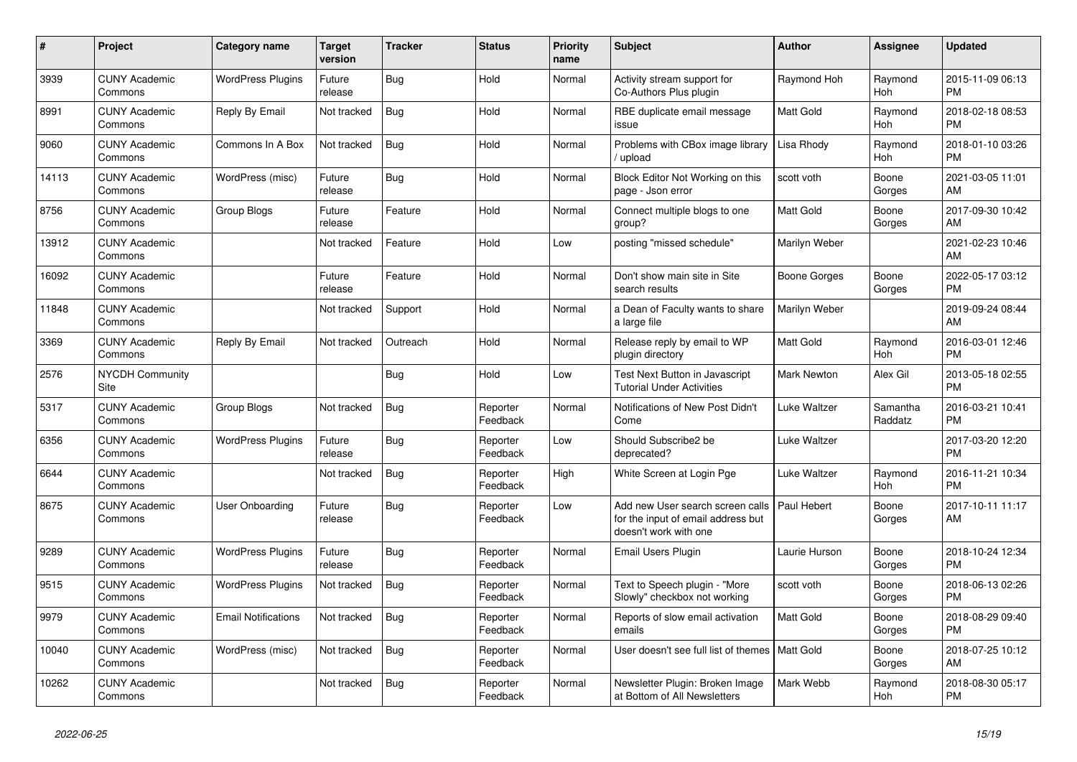| #     | <b>Project</b>                  | <b>Category name</b>       | Target<br>version | Tracker    | <b>Status</b>        | <b>Priority</b><br>name | <b>Subject</b>                                                                                  | <b>Author</b>       | <b>Assignee</b>       | <b>Updated</b>                |
|-------|---------------------------------|----------------------------|-------------------|------------|----------------------|-------------------------|-------------------------------------------------------------------------------------------------|---------------------|-----------------------|-------------------------------|
| 3939  | <b>CUNY Academic</b><br>Commons | <b>WordPress Plugins</b>   | Future<br>release | <b>Bug</b> | Hold                 | Normal                  | Activity stream support for<br>Co-Authors Plus plugin                                           | Raymond Hoh         | Raymond<br><b>Hoh</b> | 2015-11-09 06:13<br><b>PM</b> |
| 8991  | <b>CUNY Academic</b><br>Commons | Reply By Email             | Not tracked       | <b>Bug</b> | Hold                 | Normal                  | RBE duplicate email message<br>issue                                                            | <b>Matt Gold</b>    | Raymond<br>Hoh        | 2018-02-18 08:53<br><b>PM</b> |
| 9060  | <b>CUNY Academic</b><br>Commons | Commons In A Box           | Not tracked       | <b>Bug</b> | Hold                 | Normal                  | Problems with CBox image library<br>upload                                                      | Lisa Rhody          | Raymond<br>Hoh        | 2018-01-10 03:26<br><b>PM</b> |
| 14113 | <b>CUNY Academic</b><br>Commons | WordPress (misc)           | Future<br>release | Bug        | Hold                 | Normal                  | Block Editor Not Working on this<br>page - Json error                                           | scott voth          | Boone<br>Gorges       | 2021-03-05 11:01<br>AM        |
| 8756  | <b>CUNY Academic</b><br>Commons | Group Blogs                | Future<br>release | Feature    | Hold                 | Normal                  | Connect multiple blogs to one<br>group?                                                         | Matt Gold           | Boone<br>Gorges       | 2017-09-30 10:42<br>AM        |
| 13912 | <b>CUNY Academic</b><br>Commons |                            | Not tracked       | Feature    | Hold                 | Low                     | posting "missed schedule"                                                                       | Marilyn Weber       |                       | 2021-02-23 10:46<br>AM        |
| 16092 | <b>CUNY Academic</b><br>Commons |                            | Future<br>release | Feature    | Hold                 | Normal                  | Don't show main site in Site<br>search results                                                  | <b>Boone Gorges</b> | Boone<br>Gorges       | 2022-05-17 03:12<br><b>PM</b> |
| 11848 | <b>CUNY Academic</b><br>Commons |                            | Not tracked       | Support    | Hold                 | Normal                  | a Dean of Faculty wants to share<br>a large file                                                | Marilyn Weber       |                       | 2019-09-24 08:44<br>AM        |
| 3369  | <b>CUNY Academic</b><br>Commons | Reply By Email             | Not tracked       | Outreach   | Hold                 | Normal                  | Release reply by email to WP<br>plugin directory                                                | Matt Gold           | Raymond<br>Hoh        | 2016-03-01 12:46<br><b>PM</b> |
| 2576  | NYCDH Community<br>Site         |                            |                   | <b>Bug</b> | Hold                 | Low                     | Test Next Button in Javascript<br><b>Tutorial Under Activities</b>                              | <b>Mark Newton</b>  | Alex Gil              | 2013-05-18 02:55<br><b>PM</b> |
| 5317  | <b>CUNY Academic</b><br>Commons | Group Blogs                | Not tracked       | Bug        | Reporter<br>Feedback | Normal                  | Notifications of New Post Didn't<br>Come                                                        | Luke Waltzer        | Samantha<br>Raddatz   | 2016-03-21 10:41<br><b>PM</b> |
| 6356  | <b>CUNY Academic</b><br>Commons | <b>WordPress Plugins</b>   | Future<br>release | Bug        | Reporter<br>Feedback | Low                     | Should Subscribe2 be<br>deprecated?                                                             | Luke Waltzer        |                       | 2017-03-20 12:20<br><b>PM</b> |
| 6644  | <b>CUNY Academic</b><br>Commons |                            | Not tracked       | <b>Bug</b> | Reporter<br>Feedback | High                    | White Screen at Login Pge                                                                       | Luke Waltzer        | Raymond<br><b>Hoh</b> | 2016-11-21 10:34<br><b>PM</b> |
| 8675  | <b>CUNY Academic</b><br>Commons | User Onboarding            | Future<br>release | <b>Bug</b> | Reporter<br>Feedback | Low                     | Add new User search screen calls<br>for the input of email address but<br>doesn't work with one | Paul Hebert         | Boone<br>Gorges       | 2017-10-11 11:17<br>AM        |
| 9289  | <b>CUNY Academic</b><br>Commons | <b>WordPress Plugins</b>   | Future<br>release | Bug        | Reporter<br>Feedback | Normal                  | <b>Email Users Plugin</b>                                                                       | Laurie Hurson       | Boone<br>Gorges       | 2018-10-24 12:34<br><b>PM</b> |
| 9515  | <b>CUNY Academic</b><br>Commons | <b>WordPress Plugins</b>   | Not tracked       | <b>Bug</b> | Reporter<br>Feedback | Normal                  | Text to Speech plugin - "More<br>Slowly" checkbox not working                                   | scott voth          | Boone<br>Gorges       | 2018-06-13 02:26<br><b>PM</b> |
| 9979  | <b>CUNY Academic</b><br>Commons | <b>Email Notifications</b> | Not tracked       | Bug        | Reporter<br>Feedback | Normal                  | Reports of slow email activation<br>emails                                                      | Matt Gold           | Boone<br>Gorges       | 2018-08-29 09:40<br><b>PM</b> |
| 10040 | <b>CUNY Academic</b><br>Commons | WordPress (misc)           | Not tracked       | <b>Bug</b> | Reporter<br>Feedback | Normal                  | User doesn't see full list of themes   Matt Gold                                                |                     | Boone<br>Gorges       | 2018-07-25 10:12<br>AM        |
| 10262 | <b>CUNY Academic</b><br>Commons |                            | Not tracked       | <b>Bug</b> | Reporter<br>Feedback | Normal                  | Newsletter Plugin: Broken Image<br>at Bottom of All Newsletters                                 | Mark Webb           | Raymond<br>Hoh        | 2018-08-30 05:17<br><b>PM</b> |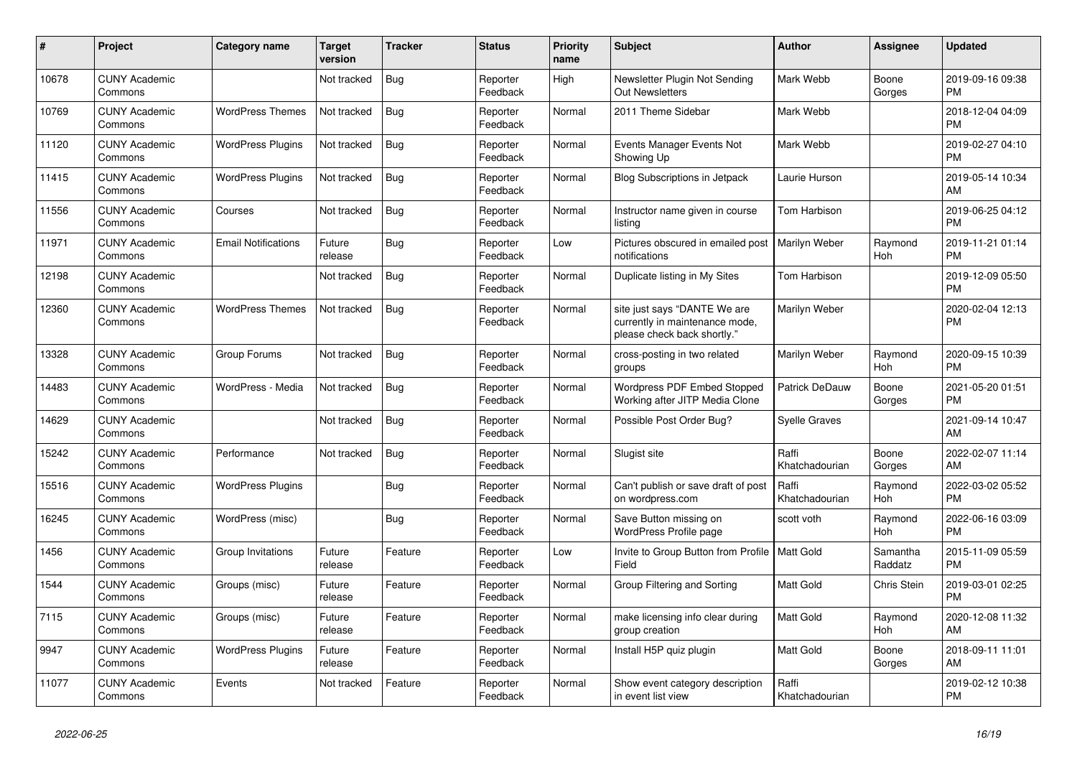| #     | Project                         | <b>Category name</b>       | Target<br>version | <b>Tracker</b> | <b>Status</b>        | <b>Priority</b><br>name | <b>Subject</b>                                                                                | <b>Author</b>           | <b>Assignee</b>       | <b>Updated</b>                |
|-------|---------------------------------|----------------------------|-------------------|----------------|----------------------|-------------------------|-----------------------------------------------------------------------------------------------|-------------------------|-----------------------|-------------------------------|
| 10678 | <b>CUNY Academic</b><br>Commons |                            | Not tracked       | <b>Bug</b>     | Reporter<br>Feedback | High                    | Newsletter Plugin Not Sending<br>Out Newsletters                                              | Mark Webb               | Boone<br>Gorges       | 2019-09-16 09:38<br><b>PM</b> |
| 10769 | <b>CUNY Academic</b><br>Commons | <b>WordPress Themes</b>    | Not tracked       | Bug            | Reporter<br>Feedback | Normal                  | 2011 Theme Sidebar                                                                            | Mark Webb               |                       | 2018-12-04 04:09<br><b>PM</b> |
| 11120 | <b>CUNY Academic</b><br>Commons | <b>WordPress Plugins</b>   | Not tracked       | Bug            | Reporter<br>Feedback | Normal                  | Events Manager Events Not<br>Showing Up                                                       | Mark Webb               |                       | 2019-02-27 04:10<br><b>PM</b> |
| 11415 | <b>CUNY Academic</b><br>Commons | <b>WordPress Plugins</b>   | Not tracked       | <b>Bug</b>     | Reporter<br>Feedback | Normal                  | <b>Blog Subscriptions in Jetpack</b>                                                          | Laurie Hurson           |                       | 2019-05-14 10:34<br>AM        |
| 11556 | <b>CUNY Academic</b><br>Commons | Courses                    | Not tracked       | Bug            | Reporter<br>Feedback | Normal                  | Instructor name given in course<br>listing                                                    | Tom Harbison            |                       | 2019-06-25 04:12<br><b>PM</b> |
| 11971 | <b>CUNY Academic</b><br>Commons | <b>Email Notifications</b> | Future<br>release | <b>Bug</b>     | Reporter<br>Feedback | Low                     | Pictures obscured in emailed post<br>notifications                                            | Marilyn Weber           | Raymond<br><b>Hoh</b> | 2019-11-21 01:14<br><b>PM</b> |
| 12198 | <b>CUNY Academic</b><br>Commons |                            | Not tracked       | Bug            | Reporter<br>Feedback | Normal                  | Duplicate listing in My Sites                                                                 | Tom Harbison            |                       | 2019-12-09 05:50<br><b>PM</b> |
| 12360 | <b>CUNY Academic</b><br>Commons | <b>WordPress Themes</b>    | Not tracked       | Bug            | Reporter<br>Feedback | Normal                  | site just says "DANTE We are<br>currently in maintenance mode,<br>please check back shortly." | Marilyn Weber           |                       | 2020-02-04 12:13<br><b>PM</b> |
| 13328 | <b>CUNY Academic</b><br>Commons | Group Forums               | Not tracked       | Bug            | Reporter<br>Feedback | Normal                  | cross-posting in two related<br>groups                                                        | Marilyn Weber           | Raymond<br>Hoh        | 2020-09-15 10:39<br><b>PM</b> |
| 14483 | <b>CUNY Academic</b><br>Commons | WordPress - Media          | Not tracked       | <b>Bug</b>     | Reporter<br>Feedback | Normal                  | <b>Wordpress PDF Embed Stopped</b><br>Working after JITP Media Clone                          | Patrick DeDauw          | Boone<br>Gorges       | 2021-05-20 01:51<br><b>PM</b> |
| 14629 | <b>CUNY Academic</b><br>Commons |                            | Not tracked       | Bug            | Reporter<br>Feedback | Normal                  | Possible Post Order Bug?                                                                      | Syelle Graves           |                       | 2021-09-14 10:47<br>AM        |
| 15242 | <b>CUNY Academic</b><br>Commons | Performance                | Not tracked       | <b>Bug</b>     | Reporter<br>Feedback | Normal                  | Slugist site                                                                                  | Raffi<br>Khatchadourian | Boone<br>Gorges       | 2022-02-07 11:14<br>AM        |
| 15516 | <b>CUNY Academic</b><br>Commons | <b>WordPress Plugins</b>   |                   | Bug            | Reporter<br>Feedback | Normal                  | Can't publish or save draft of post<br>on wordpress.com                                       | Raffi<br>Khatchadourian | Raymond<br>Hoh        | 2022-03-02 05:52<br><b>PM</b> |
| 16245 | <b>CUNY Academic</b><br>Commons | WordPress (misc)           |                   | <b>Bug</b>     | Reporter<br>Feedback | Normal                  | Save Button missing on<br><b>WordPress Profile page</b>                                       | scott voth              | Raymond<br>Hoh        | 2022-06-16 03:09<br><b>PM</b> |
| 1456  | <b>CUNY Academic</b><br>Commons | Group Invitations          | Future<br>release | Feature        | Reporter<br>Feedback | Low                     | Invite to Group Button from Profile   Matt Gold<br>Field                                      |                         | Samantha<br>Raddatz   | 2015-11-09 05:59<br><b>PM</b> |
| 1544  | <b>CUNY Academic</b><br>Commons | Groups (misc)              | Future<br>release | Feature        | Reporter<br>Feedback | Normal                  | Group Filtering and Sorting                                                                   | Matt Gold               | Chris Stein           | 2019-03-01 02:25<br><b>PM</b> |
| 7115  | <b>CUNY Academic</b><br>Commons | Groups (misc)              | Future<br>release | Feature        | Reporter<br>Feedback | Normal                  | make licensing info clear during<br>group creation                                            | <b>Matt Gold</b>        | Raymond<br><b>Hoh</b> | 2020-12-08 11:32<br>AM        |
| 9947  | <b>CUNY Academic</b><br>Commons | <b>WordPress Plugins</b>   | Future<br>release | Feature        | Reporter<br>Feedback | Normal                  | Install H5P quiz plugin                                                                       | <b>Matt Gold</b>        | Boone<br>Gorges       | 2018-09-11 11:01<br>AM        |
| 11077 | <b>CUNY Academic</b><br>Commons | Events                     | Not tracked       | Feature        | Reporter<br>Feedback | Normal                  | Show event category description<br>in event list view                                         | Raffi<br>Khatchadourian |                       | 2019-02-12 10:38<br><b>PM</b> |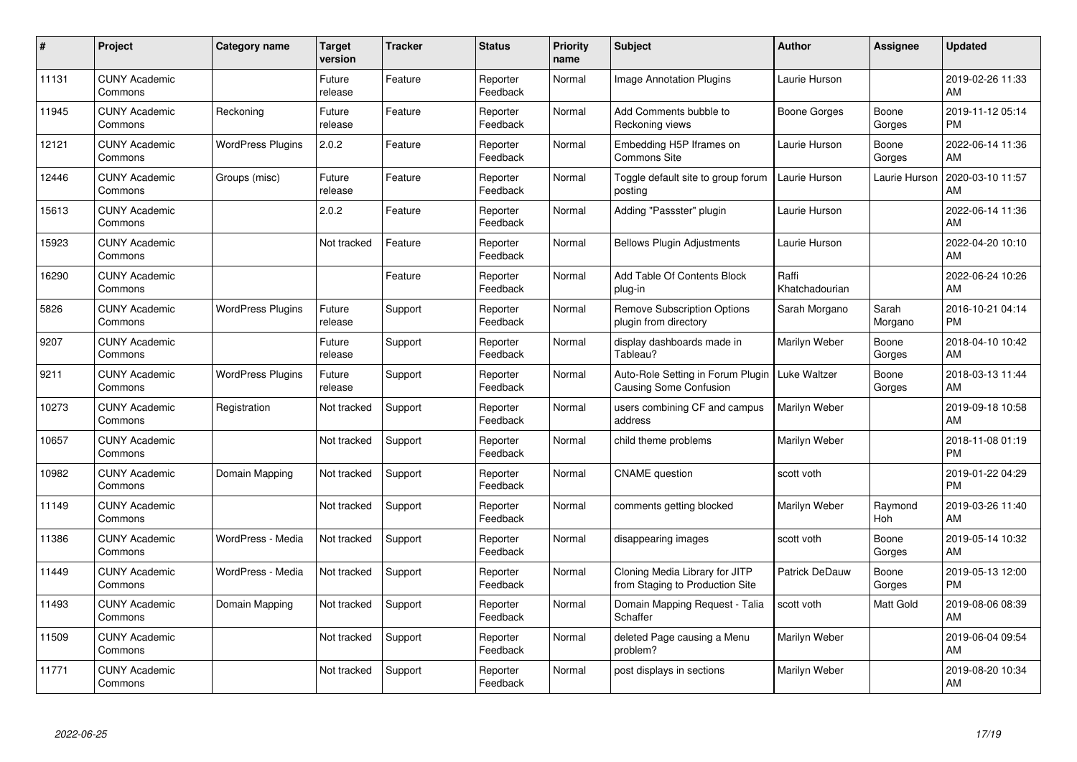| #     | Project                         | <b>Category name</b>     | <b>Target</b><br>version | <b>Tracker</b> | <b>Status</b>        | <b>Priority</b><br>name | <b>Subject</b>                                                    | Author                  | <b>Assignee</b>  | <b>Updated</b>                |
|-------|---------------------------------|--------------------------|--------------------------|----------------|----------------------|-------------------------|-------------------------------------------------------------------|-------------------------|------------------|-------------------------------|
| 11131 | <b>CUNY Academic</b><br>Commons |                          | Future<br>release        | Feature        | Reporter<br>Feedback | Normal                  | <b>Image Annotation Plugins</b>                                   | Laurie Hurson           |                  | 2019-02-26 11:33<br>AM        |
| 11945 | <b>CUNY Academic</b><br>Commons | Reckoning                | Future<br>release        | Feature        | Reporter<br>Feedback | Normal                  | Add Comments bubble to<br>Reckoning views                         | Boone Gorges            | Boone<br>Gorges  | 2019-11-12 05:14<br><b>PM</b> |
| 12121 | <b>CUNY Academic</b><br>Commons | <b>WordPress Plugins</b> | 2.0.2                    | Feature        | Reporter<br>Feedback | Normal                  | Embedding H5P Iframes on<br><b>Commons Site</b>                   | Laurie Hurson           | Boone<br>Gorges  | 2022-06-14 11:36<br>AM        |
| 12446 | <b>CUNY Academic</b><br>Commons | Groups (misc)            | Future<br>release        | Feature        | Reporter<br>Feedback | Normal                  | Toggle default site to group forum<br>posting                     | Laurie Hurson           | Laurie Hurson    | 2020-03-10 11:57<br>AM        |
| 15613 | <b>CUNY Academic</b><br>Commons |                          | 2.0.2                    | Feature        | Reporter<br>Feedback | Normal                  | Adding "Passster" plugin                                          | Laurie Hurson           |                  | 2022-06-14 11:36<br>AM        |
| 15923 | <b>CUNY Academic</b><br>Commons |                          | Not tracked              | Feature        | Reporter<br>Feedback | Normal                  | <b>Bellows Plugin Adjustments</b>                                 | Laurie Hurson           |                  | 2022-04-20 10:10<br>AM        |
| 16290 | <b>CUNY Academic</b><br>Commons |                          |                          | Feature        | Reporter<br>Feedback | Normal                  | Add Table Of Contents Block<br>plug-in                            | Raffi<br>Khatchadourian |                  | 2022-06-24 10:26<br>AM        |
| 5826  | <b>CUNY Academic</b><br>Commons | <b>WordPress Plugins</b> | Future<br>release        | Support        | Reporter<br>Feedback | Normal                  | <b>Remove Subscription Options</b><br>plugin from directory       | Sarah Morgano           | Sarah<br>Morgano | 2016-10-21 04:14<br><b>PM</b> |
| 9207  | <b>CUNY Academic</b><br>Commons |                          | Future<br>release        | Support        | Reporter<br>Feedback | Normal                  | display dashboards made in<br>Tableau?                            | Marilyn Weber           | Boone<br>Gorges  | 2018-04-10 10:42<br>AM        |
| 9211  | <b>CUNY Academic</b><br>Commons | <b>WordPress Plugins</b> | Future<br>release        | Support        | Reporter<br>Feedback | Normal                  | Auto-Role Setting in Forum Plugin<br>Causing Some Confusion       | Luke Waltzer            | Boone<br>Gorges  | 2018-03-13 11:44<br>AM        |
| 10273 | <b>CUNY Academic</b><br>Commons | Registration             | Not tracked              | Support        | Reporter<br>Feedback | Normal                  | users combining CF and campus<br>address                          | Marilyn Weber           |                  | 2019-09-18 10:58<br>AM        |
| 10657 | <b>CUNY Academic</b><br>Commons |                          | Not tracked              | Support        | Reporter<br>Feedback | Normal                  | child theme problems                                              | Marilyn Weber           |                  | 2018-11-08 01:19<br><b>PM</b> |
| 10982 | <b>CUNY Academic</b><br>Commons | Domain Mapping           | Not tracked              | Support        | Reporter<br>Feedback | Normal                  | <b>CNAME</b> question                                             | scott voth              |                  | 2019-01-22 04:29<br><b>PM</b> |
| 11149 | <b>CUNY Academic</b><br>Commons |                          | Not tracked              | Support        | Reporter<br>Feedback | Normal                  | comments getting blocked                                          | Marilyn Weber           | Raymond<br>Hoh   | 2019-03-26 11:40<br>AM        |
| 11386 | <b>CUNY Academic</b><br>Commons | WordPress - Media        | Not tracked              | Support        | Reporter<br>Feedback | Normal                  | disappearing images                                               | scott voth              | Boone<br>Gorges  | 2019-05-14 10:32<br>AM        |
| 11449 | <b>CUNY Academic</b><br>Commons | WordPress - Media        | Not tracked              | Support        | Reporter<br>Feedback | Normal                  | Cloning Media Library for JITP<br>from Staging to Production Site | Patrick DeDauw          | Boone<br>Gorges  | 2019-05-13 12:00<br><b>PM</b> |
| 11493 | <b>CUNY Academic</b><br>Commons | Domain Mapping           | Not tracked              | Support        | Reporter<br>Feedback | Normal                  | Domain Mapping Request - Talia<br>Schaffer                        | scott voth              | Matt Gold        | 2019-08-06 08:39<br>AM        |
| 11509 | <b>CUNY Academic</b><br>Commons |                          | Not tracked              | Support        | Reporter<br>Feedback | Normal                  | deleted Page causing a Menu<br>problem?                           | Marilyn Weber           |                  | 2019-06-04 09:54<br>AM        |
| 11771 | <b>CUNY Academic</b><br>Commons |                          | Not tracked              | Support        | Reporter<br>Feedback | Normal                  | post displays in sections                                         | Marilyn Weber           |                  | 2019-08-20 10:34<br>AM        |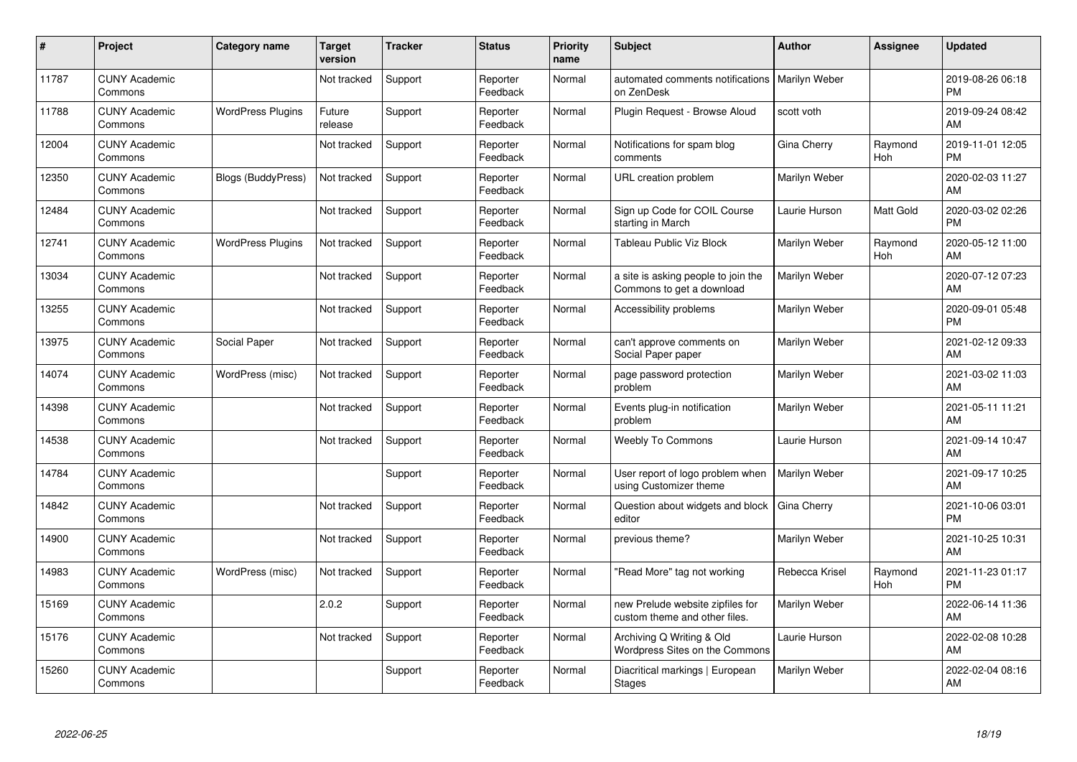| #     | Project                         | Category name             | <b>Target</b><br>version | <b>Tracker</b> | <b>Status</b>        | <b>Priority</b><br>name | <b>Subject</b>                                                    | <b>Author</b>  | <b>Assignee</b>  | <b>Updated</b>                |
|-------|---------------------------------|---------------------------|--------------------------|----------------|----------------------|-------------------------|-------------------------------------------------------------------|----------------|------------------|-------------------------------|
| 11787 | <b>CUNY Academic</b><br>Commons |                           | Not tracked              | Support        | Reporter<br>Feedback | Normal                  | automated comments notifications<br>on ZenDesk                    | Marilyn Weber  |                  | 2019-08-26 06:18<br><b>PM</b> |
| 11788 | <b>CUNY Academic</b><br>Commons | <b>WordPress Plugins</b>  | Future<br>release        | Support        | Reporter<br>Feedback | Normal                  | Plugin Request - Browse Aloud                                     | scott voth     |                  | 2019-09-24 08:42<br>AM        |
| 12004 | <b>CUNY Academic</b><br>Commons |                           | Not tracked              | Support        | Reporter<br>Feedback | Normal                  | Notifications for spam blog<br>comments                           | Gina Cherry    | Raymond<br>Hoh   | 2019-11-01 12:05<br><b>PM</b> |
| 12350 | <b>CUNY Academic</b><br>Commons | <b>Blogs (BuddyPress)</b> | Not tracked              | Support        | Reporter<br>Feedback | Normal                  | URL creation problem                                              | Marilyn Weber  |                  | 2020-02-03 11:27<br>AM        |
| 12484 | <b>CUNY Academic</b><br>Commons |                           | Not tracked              | Support        | Reporter<br>Feedback | Normal                  | Sign up Code for COIL Course<br>starting in March                 | Laurie Hurson  | <b>Matt Gold</b> | 2020-03-02 02:26<br><b>PM</b> |
| 12741 | <b>CUNY Academic</b><br>Commons | <b>WordPress Plugins</b>  | Not tracked              | Support        | Reporter<br>Feedback | Normal                  | Tableau Public Viz Block                                          | Marilyn Weber  | Raymond<br>Hoh   | 2020-05-12 11:00<br>AM        |
| 13034 | <b>CUNY Academic</b><br>Commons |                           | Not tracked              | Support        | Reporter<br>Feedback | Normal                  | a site is asking people to join the<br>Commons to get a download  | Marilyn Weber  |                  | 2020-07-12 07:23<br>AM        |
| 13255 | <b>CUNY Academic</b><br>Commons |                           | Not tracked              | Support        | Reporter<br>Feedback | Normal                  | Accessibility problems                                            | Marilyn Weber  |                  | 2020-09-01 05:48<br><b>PM</b> |
| 13975 | <b>CUNY Academic</b><br>Commons | Social Paper              | Not tracked              | Support        | Reporter<br>Feedback | Normal                  | can't approve comments on<br>Social Paper paper                   | Marilyn Weber  |                  | 2021-02-12 09:33<br>AM        |
| 14074 | <b>CUNY Academic</b><br>Commons | WordPress (misc)          | Not tracked              | Support        | Reporter<br>Feedback | Normal                  | page password protection<br>problem                               | Marilyn Weber  |                  | 2021-03-02 11:03<br>AM        |
| 14398 | <b>CUNY Academic</b><br>Commons |                           | Not tracked              | Support        | Reporter<br>Feedback | Normal                  | Events plug-in notification<br>problem                            | Marilyn Weber  |                  | 2021-05-11 11:21<br>AM        |
| 14538 | <b>CUNY Academic</b><br>Commons |                           | Not tracked              | Support        | Reporter<br>Feedback | Normal                  | <b>Weebly To Commons</b>                                          | Laurie Hurson  |                  | 2021-09-14 10:47<br>AM        |
| 14784 | <b>CUNY Academic</b><br>Commons |                           |                          | Support        | Reporter<br>Feedback | Normal                  | User report of logo problem when<br>using Customizer theme        | Marilyn Weber  |                  | 2021-09-17 10:25<br>AM        |
| 14842 | <b>CUNY Academic</b><br>Commons |                           | Not tracked              | Support        | Reporter<br>Feedback | Normal                  | Question about widgets and block<br>editor                        | Gina Cherry    |                  | 2021-10-06 03:01<br><b>PM</b> |
| 14900 | <b>CUNY Academic</b><br>Commons |                           | Not tracked              | Support        | Reporter<br>Feedback | Normal                  | previous theme?                                                   | Marilyn Weber  |                  | 2021-10-25 10:31<br>AM        |
| 14983 | <b>CUNY Academic</b><br>Commons | WordPress (misc)          | Not tracked              | Support        | Reporter<br>Feedback | Normal                  | 'Read More" tag not working                                       | Rebecca Krisel | Raymond<br>Hoh   | 2021-11-23 01:17<br><b>PM</b> |
| 15169 | <b>CUNY Academic</b><br>Commons |                           | 2.0.2                    | Support        | Reporter<br>Feedback | Normal                  | new Prelude website zipfiles for<br>custom theme and other files. | Marilyn Weber  |                  | 2022-06-14 11:36<br>AM        |
| 15176 | <b>CUNY Academic</b><br>Commons |                           | Not tracked              | Support        | Reporter<br>Feedback | Normal                  | Archiving Q Writing & Old<br>Wordpress Sites on the Commons       | Laurie Hurson  |                  | 2022-02-08 10:28<br>AM        |
| 15260 | <b>CUNY Academic</b><br>Commons |                           |                          | Support        | Reporter<br>Feedback | Normal                  | Diacritical markings   European<br><b>Stages</b>                  | Marilyn Weber  |                  | 2022-02-04 08:16<br>AM        |